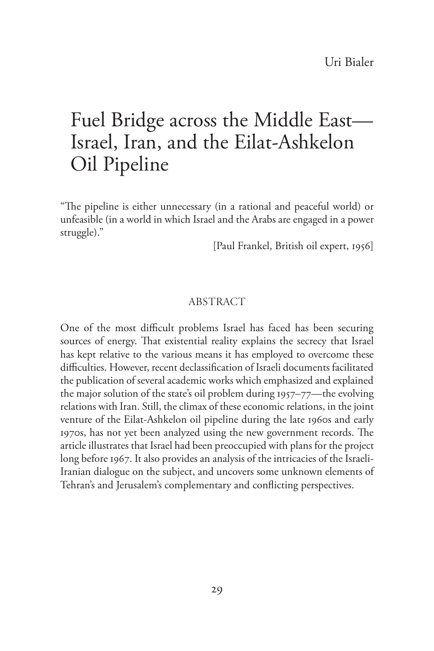Uri Bialer

# Fuel Bridge across the Middle East— Israel, Iran, and the Eilat-Ashkelon Oil Pipeline

"The pipeline is either unnecessary (in a rational and peaceful world) or unfeasible (in a world in which Israel and the Arabs are engaged in a power struggle)."

[Paul Frankel, British oil expert, 1956]

## ABSTRACT

One of the most difficult problems Israel has faced has been securing sources of energy. That existential reality explains the secrecy that Israel has kept relative to the various means it has employed to overcome these difficulties. However, recent declassification of Israeli documents facilitated the publication of several academic works which emphasized and explained the major solution of the state's oil problem during 1957–77—the evolving relations with Iran. Still, the climax of these economic relations, in the joint venture of the Eilat-Ashkelon oil pipeline during the late 1960s and early 1970s, has not yet been analyzed using the new government records. The article illustrates that Israel had been preoccupied with plans for the project long before 1967. It also provides an analysis of the intricacies of the Israeli-Iranian dialogue on the subject, and uncovers some unknown elements of Tehran's and Jerusalem's complementary and conflicting perspectives.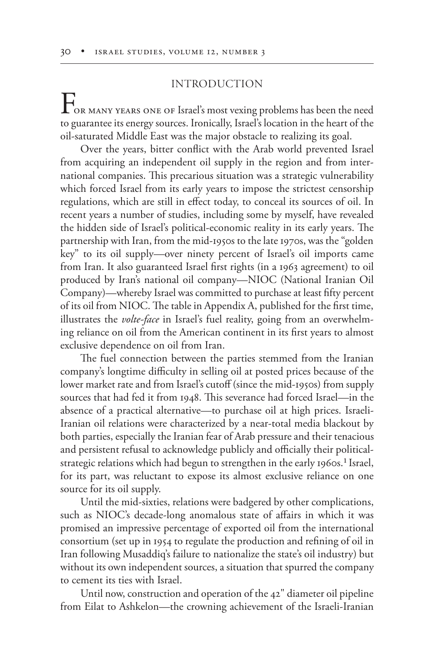## INTRODUCTION

FOR MANY YEARS ONE OF Israel's most vexing problems has been the need to guarantee its energy sources. Ironically, Israel's location in the heart of the oil-saturated Middle East was the major obstacle to realizing its goal.

Over the years, bitter conflict with the Arab world prevented Israel from acquiring an independent oil supply in the region and from international companies. This precarious situation was a strategic vulnerability which forced Israel from its early years to impose the strictest censorship regulations, which are still in effect today, to conceal its sources of oil. In recent years a number of studies, including some by myself, have revealed the hidden side of Israel's political-economic reality in its early years. The partnership with Iran, from the mid-1950s to the late 1970s, was the "golden key" to its oil supply—over ninety percent of Israel's oil imports came from Iran. It also guaranteed Israel first rights (in a 1963 agreement) to oil produced by Iran's national oil company—NIOC (National Iranian Oil Company)—whereby Israel was committed to purchase at least fifty percent of its oil from NIOC. The table in Appendix A, published for the first time, illustrates the *volte-face* in Israel's fuel reality, going from an overwhelming reliance on oil from the American continent in its first years to almost exclusive dependence on oil from Iran.

The fuel connection between the parties stemmed from the Iranian company's longtime difficulty in selling oil at posted prices because of the lower market rate and from Israel's cutoff (since the mid-1950s) from supply sources that had fed it from 1948. This severance had forced Israel—in the absence of a practical alternative—to purchase oil at high prices. Israeli-Iranian oil relations were characterized by a near-total media blackout by both parties, especially the Iranian fear of Arab pressure and their tenacious and persistent refusal to acknowledge publicly and officially their politicalstrategic relations which had begun to strengthen in the early 1960s.<sup>1</sup> Israel, for its part, was reluctant to expose its almost exclusive reliance on one source for its oil supply.

Until the mid-sixties, relations were badgered by other complications, such as NIOC's decade-long anomalous state of affairs in which it was promised an impressive percentage of exported oil from the international consortium (set up in 1954 to regulate the production and refining of oil in Iran following Musaddiq's failure to nationalize the state's oil industry) but without its own independent sources, a situation that spurred the company to cement its ties with Israel.

Until now, construction and operation of the 42" diameter oil pipeline from Eilat to Ashkelon—the crowning achievement of the Israeli-Iranian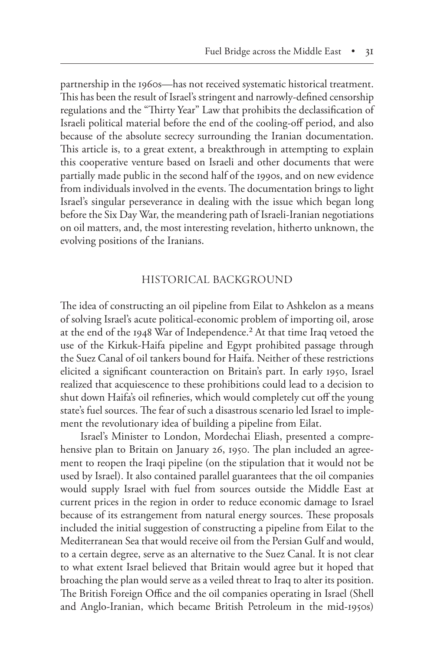partnership in the 1960s—has not received systematic historical treatment. This has been the result of Israel's stringent and narrowly-defined censorship regulations and the "Thirty Year" Law that prohibits the declassification of Israeli political material before the end of the cooling-off period, and also because of the absolute secrecy surrounding the Iranian documentation. This article is, to a great extent, a breakthrough in attempting to explain this cooperative venture based on Israeli and other documents that were partially made public in the second half of the 1990s, and on new evidence from individuals involved in the events. The documentation brings to light Israel's singular perseverance in dealing with the issue which began long before the Six Day War, the meandering path of Israeli-Iranian negotiations on oil matters, and, the most interesting revelation, hitherto unknown, the evolving positions of the Iranians.

#### HISTORICAL BACKGROUND

The idea of constructing an oil pipeline from Eilat to Ashkelon as a means of solving Israel's acute political-economic problem of importing oil, arose at the end of the 1948 War of Independence.2 At that time Iraq vetoed the use of the Kirkuk-Haifa pipeline and Egypt prohibited passage through the Suez Canal of oil tankers bound for Haifa. Neither of these restrictions elicited a significant counteraction on Britain's part. In early 1950, Israel realized that acquiescence to these prohibitions could lead to a decision to shut down Haifa's oil refineries, which would completely cut off the young state's fuel sources. The fear of such a disastrous scenario led Israel to implement the revolutionary idea of building a pipeline from Eilat.

Israel's Minister to London, Mordechai Eliash, presented a comprehensive plan to Britain on January 26, 1950. The plan included an agreement to reopen the Iraqi pipeline (on the stipulation that it would not be used by Israel). It also contained parallel guarantees that the oil companies would supply Israel with fuel from sources outside the Middle East at current prices in the region in order to reduce economic damage to Israel because of its estrangement from natural energy sources. These proposals included the initial suggestion of constructing a pipeline from Eilat to the Mediterranean Sea that would receive oil from the Persian Gulf and would, to a certain degree, serve as an alternative to the Suez Canal. It is not clear to what extent Israel believed that Britain would agree but it hoped that broaching the plan would serve as a veiled threat to Iraq to alter its position. The British Foreign Office and the oil companies operating in Israel (Shell and Anglo-Iranian, which became British Petroleum in the mid-1950s)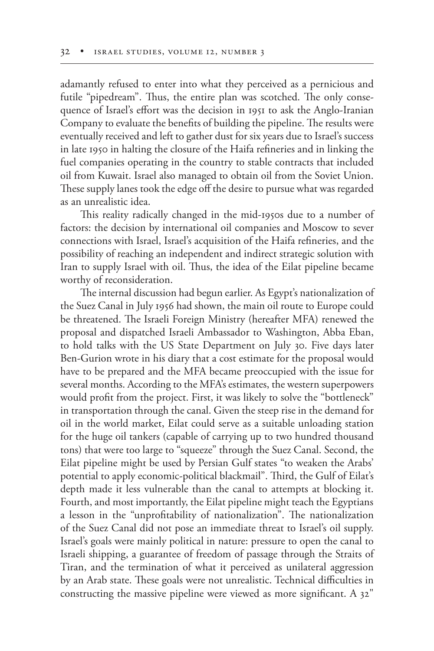adamantly refused to enter into what they perceived as a pernicious and futile "pipedream". Thus, the entire plan was scotched. The only consequence of Israel's effort was the decision in 1951 to ask the Anglo-Iranian Company to evaluate the benefits of building the pipeline. The results were eventually received and left to gather dust for six years due to Israel's success in late 1950 in halting the closure of the Haifa refineries and in linking the fuel companies operating in the country to stable contracts that included oil from Kuwait. Israel also managed to obtain oil from the Soviet Union. These supply lanes took the edge off the desire to pursue what was regarded as an unrealistic idea.

This reality radically changed in the mid-1950s due to a number of factors: the decision by international oil companies and Moscow to sever connections with Israel, Israel's acquisition of the Haifa refineries, and the possibility of reaching an independent and indirect strategic solution with Iran to supply Israel with oil. Thus, the idea of the Eilat pipeline became worthy of reconsideration.

The internal discussion had begun earlier. As Egypt's nationalization of the Suez Canal in July 1956 had shown, the main oil route to Europe could be threatened. The Israeli Foreign Ministry (hereafter MFA) renewed the proposal and dispatched Israeli Ambassador to Washington, Abba Eban, to hold talks with the US State Department on July 30. Five days later Ben-Gurion wrote in his diary that a cost estimate for the proposal would have to be prepared and the MFA became preoccupied with the issue for several months. According to the MFA's estimates, the western superpowers would profit from the project. First, it was likely to solve the "bottleneck" in transportation through the canal. Given the steep rise in the demand for oil in the world market, Eilat could serve as a suitable unloading station for the huge oil tankers (capable of carrying up to two hundred thousand tons) that were too large to "squeeze" through the Suez Canal. Second, the Eilat pipeline might be used by Persian Gulf states "to weaken the Arabs' potential to apply economic-political blackmail". Third, the Gulf of Eilat's depth made it less vulnerable than the canal to attempts at blocking it. Fourth, and most importantly, the Eilat pipeline might teach the Egyptians a lesson in the "unprofitability of nationalization". The nationalization of the Suez Canal did not pose an immediate threat to Israel's oil supply. Israel's goals were mainly political in nature: pressure to open the canal to Israeli shipping, a guarantee of freedom of passage through the Straits of Tiran, and the termination of what it perceived as unilateral aggression by an Arab state. These goals were not unrealistic. Technical difficulties in constructing the massive pipeline were viewed as more significant. A 32"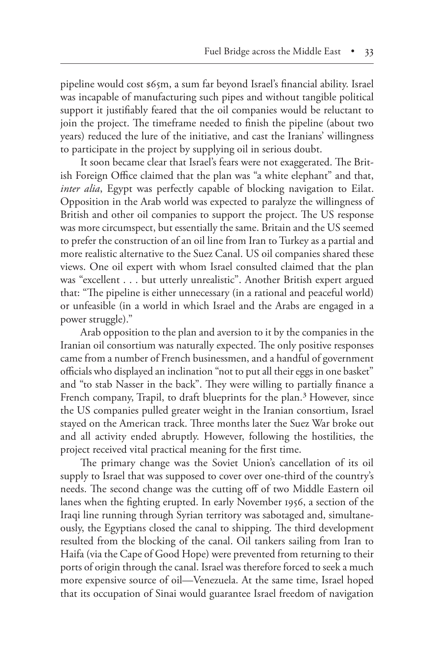pipeline would cost \$65m, a sum far beyond Israel's financial ability. Israel was incapable of manufacturing such pipes and without tangible political support it justifiably feared that the oil companies would be reluctant to join the project. The timeframe needed to finish the pipeline (about two years) reduced the lure of the initiative, and cast the Iranians' willingness to participate in the project by supplying oil in serious doubt.

It soon became clear that Israel's fears were not exaggerated. The British Foreign Office claimed that the plan was "a white elephant" and that, *inter alia*, Egypt was perfectly capable of blocking navigation to Eilat. Opposition in the Arab world was expected to paralyze the willingness of British and other oil companies to support the project. The US response was more circumspect, but essentially the same. Britain and the US seemed to prefer the construction of an oil line from Iran to Turkey as a partial and more realistic alternative to the Suez Canal. US oil companies shared these views. One oil expert with whom Israel consulted claimed that the plan was "excellent . . . but utterly unrealistic". Another British expert argued that: "The pipeline is either unnecessary (in a rational and peaceful world) or unfeasible (in a world in which Israel and the Arabs are engaged in a power struggle)."

Arab opposition to the plan and aversion to it by the companies in the Iranian oil consortium was naturally expected. The only positive responses came from a number of French businessmen, and a handful of government officials who displayed an inclination "not to put all their eggs in one basket" and "to stab Nasser in the back". They were willing to partially finance a French company, Trapil, to draft blueprints for the plan.<sup>3</sup> However, since the US companies pulled greater weight in the Iranian consortium, Israel stayed on the American track. Three months later the Suez War broke out and all activity ended abruptly. However, following the hostilities, the project received vital practical meaning for the first time.

The primary change was the Soviet Union's cancellation of its oil supply to Israel that was supposed to cover over one-third of the country's needs. The second change was the cutting off of two Middle Eastern oil lanes when the fighting erupted. In early November 1956, a section of the Iraqi line running through Syrian territory was sabotaged and, simultaneously, the Egyptians closed the canal to shipping. The third development resulted from the blocking of the canal. Oil tankers sailing from Iran to Haifa (via the Cape of Good Hope) were prevented from returning to their ports of origin through the canal. Israel was therefore forced to seek a much more expensive source of oil—Venezuela. At the same time, Israel hoped that its occupation of Sinai would guarantee Israel freedom of navigation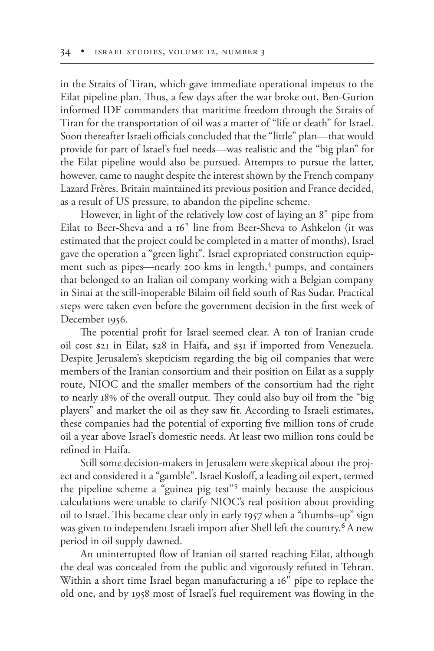in the Straits of Tiran, which gave immediate operational impetus to the Eilat pipeline plan. Thus, a few days after the war broke out, Ben-Gurion informed IDF commanders that maritime freedom through the Straits of Tiran for the transportation of oil was a matter of "life or death" for Israel. Soon thereafter Israeli officials concluded that the "little" plan—that would provide for part of Israel's fuel needs—was realistic and the "big plan" for the Eilat pipeline would also be pursued. Attempts to pursue the latter, however, came to naught despite the interest shown by the French company Lazard Frères. Britain maintained its previous position and France decided, as a result of US pressure, to abandon the pipeline scheme.

However, in light of the relatively low cost of laying an 8" pipe from Eilat to Beer-Sheva and a 16" line from Beer-Sheva to Ashkelon (it was estimated that the project could be completed in a matter of months), Israel gave the operation a "green light". Israel expropriated construction equipment such as pipes—nearly 200 kms in length, $4$  pumps, and containers that belonged to an Italian oil company working with a Belgian company in Sinai at the still-inoperable Bilaim oil field south of Ras Sudar. Practical steps were taken even before the government decision in the first week of December 1956.

The potential profit for Israel seemed clear. A ton of Iranian crude oil cost \$21 in Eilat, \$28 in Haifa, and \$31 if imported from Venezuela. Despite Jerusalem's skepticism regarding the big oil companies that were members of the Iranian consortium and their position on Eilat as a supply route, NIOC and the smaller members of the consortium had the right to nearly 18% of the overall output. They could also buy oil from the "big players" and market the oil as they saw fit. According to Israeli estimates, these companies had the potential of exporting five million tons of crude oil a year above Israel's domestic needs. At least two million tons could be refined in Haifa.

Still some decision-makers in Jerusalem were skeptical about the project and considered it a "gamble". Israel Kosloff, a leading oil expert, termed the pipeline scheme a "guinea pig test"5 mainly because the auspicious calculations were unable to clarify NIOC's real position about providing oil to Israel. This became clear only in early 1957 when a "thumbs–up" sign was given to independent Israeli import after Shell left the country.<sup>6</sup> A new period in oil supply dawned.

An uninterrupted flow of Iranian oil started reaching Eilat, although the deal was concealed from the public and vigorously refuted in Tehran. Within a short time Israel began manufacturing a 16" pipe to replace the old one, and by 1958 most of Israel's fuel requirement was flowing in the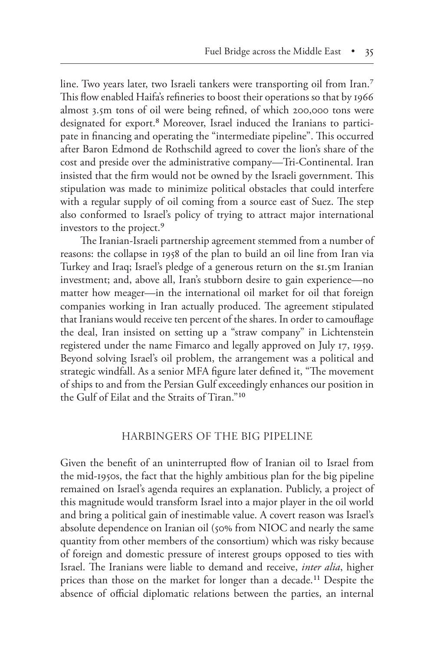line. Two years later, two Israeli tankers were transporting oil from Iran.<sup>7</sup> This flow enabled Haifa's refineries to boost their operations so that by 1966 almost 3.5m tons of oil were being refined, of which 200,000 tons were designated for export.8 Moreover, Israel induced the Iranians to participate in financing and operating the "intermediate pipeline". This occurred after Baron Edmond de Rothschild agreed to cover the lion's share of the cost and preside over the administrative company—Tri-Continental. Iran insisted that the firm would not be owned by the Israeli government. This stipulation was made to minimize political obstacles that could interfere with a regular supply of oil coming from a source east of Suez. The step also conformed to Israel's policy of trying to attract major international investors to the project.<sup>9</sup>

The Iranian-Israeli partnership agreement stemmed from a number of reasons: the collapse in 1958 of the plan to build an oil line from Iran via Turkey and Iraq; Israel's pledge of a generous return on the \$1.5m Iranian investment; and, above all, Iran's stubborn desire to gain experience—no matter how meager—in the international oil market for oil that foreign companies working in Iran actually produced. The agreement stipulated that Iranians would receive ten percent of the shares. In order to camouflage the deal, Iran insisted on setting up a "straw company" in Lichtenstein registered under the name Fimarco and legally approved on July 17, 1959. Beyond solving Israel's oil problem, the arrangement was a political and strategic windfall. As a senior MFA figure later defined it, "The movement of ships to and from the Persian Gulf exceedingly enhances our position in the Gulf of Eilat and the Straits of Tiran."10

#### HARBINGERS OF THE BIG PIPELINE

Given the benefit of an uninterrupted flow of Iranian oil to Israel from the mid-1950s, the fact that the highly ambitious plan for the big pipeline remained on Israel's agenda requires an explanation. Publicly, a project of this magnitude would transform Israel into a major player in the oil world and bring a political gain of inestimable value. A covert reason was Israel's absolute dependence on Iranian oil (50% from NIOC and nearly the same quantity from other members of the consortium) which was risky because of foreign and domestic pressure of interest groups opposed to ties with Israel. The Iranians were liable to demand and receive, *inter alia*, higher prices than those on the market for longer than a decade.<sup>11</sup> Despite the absence of official diplomatic relations between the parties, an internal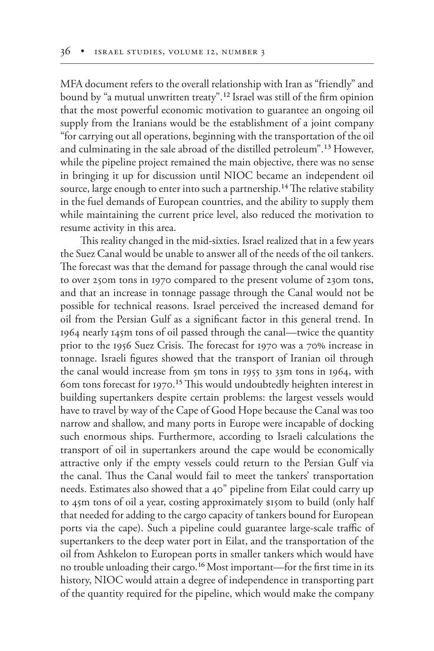MFA document refers to the overall relationship with Iran as "friendly" and bound by "a mutual unwritten treaty".12 Israel was still of the firm opinion that the most powerful economic motivation to guarantee an ongoing oil supply from the Iranians would be the establishment of a joint company "for carrying out all operations, beginning with the transportation of the oil and culminating in the sale abroad of the distilled petroleum".13 However, while the pipeline project remained the main objective, there was no sense in bringing it up for discussion until NIOC became an independent oil source, large enough to enter into such a partnership.<sup>14</sup> The relative stability in the fuel demands of European countries, and the ability to supply them while maintaining the current price level, also reduced the motivation to resume activity in this area.

This reality changed in the mid-sixties. Israel realized that in a few years the Suez Canal would be unable to answer all of the needs of the oil tankers. The forecast was that the demand for passage through the canal would rise to over 250m tons in 1970 compared to the present volume of 230m tons, and that an increase in tonnage passage through the Canal would not be possible for technical reasons. Israel perceived the increased demand for oil from the Persian Gulf as a significant factor in this general trend. In 1964 nearly 145m tons of oil passed through the canal—twice the quantity prior to the 1956 Suez Crisis. The forecast for 1970 was a 70% increase in tonnage. Israeli figures showed that the transport of Iranian oil through the canal would increase from 5m tons in 1955 to 33m tons in 1964, with 60m tons forecast for 1970.15 This would undoubtedly heighten interest in building supertankers despite certain problems: the largest vessels would have to travel by way of the Cape of Good Hope because the Canal was too narrow and shallow, and many ports in Europe were incapable of docking such enormous ships. Furthermore, according to Israeli calculations the transport of oil in supertankers around the cape would be economically attractive only if the empty vessels could return to the Persian Gulf via the canal. Thus the Canal would fail to meet the tankers' transportation needs. Estimates also showed that a 40" pipeline from Eilat could carry up to 45m tons of oil a year, costing approximately \$150m to build (only half that needed for adding to the cargo capacity of tankers bound for European ports via the cape). Such a pipeline could guarantee large-scale traffic of supertankers to the deep water port in Eilat, and the transportation of the oil from Ashkelon to European ports in smaller tankers which would have no trouble unloading their cargo.16 Most important—for the first time in its history, NIOC would attain a degree of independence in transporting part of the quantity required for the pipeline, which would make the company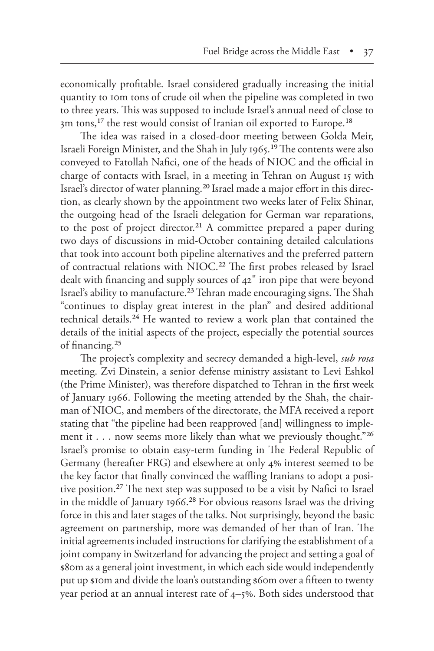economically profitable. Israel considered gradually increasing the initial quantity to 10m tons of crude oil when the pipeline was completed in two to three years. This was supposed to include Israel's annual need of close to 3m tons,<sup>17</sup> the rest would consist of Iranian oil exported to Europe.<sup>18</sup>

The idea was raised in a closed-door meeting between Golda Meir, Israeli Foreign Minister, and the Shah in July 1965.19 The contents were also conveyed to Fatollah Nafici, one of the heads of NIOC and the official in charge of contacts with Israel, in a meeting in Tehran on August 15 with Israel's director of water planning.20 Israel made a major effort in this direction, as clearly shown by the appointment two weeks later of Felix Shinar, the outgoing head of the Israeli delegation for German war reparations, to the post of project director.<sup>21</sup> A committee prepared a paper during two days of discussions in mid-October containing detailed calculations that took into account both pipeline alternatives and the preferred pattern of contractual relations with NIOC.<sup>22</sup> The first probes released by Israel dealt with financing and supply sources of 42" iron pipe that were beyond Israel's ability to manufacture.23 Tehran made encouraging signs. The Shah "continues to display great interest in the plan" and desired additional technical details.24 He wanted to review a work plan that contained the details of the initial aspects of the project, especially the potential sources of financing.25

The project's complexity and secrecy demanded a high-level, *sub rosa* meeting. Zvi Dinstein, a senior defense ministry assistant to Levi Eshkol (the Prime Minister), was therefore dispatched to Tehran in the first week of January 1966. Following the meeting attended by the Shah, the chairman of NIOC, and members of the directorate, the MFA received a report stating that "the pipeline had been reapproved [and] willingness to implement it . . . now seems more likely than what we previously thought."26 Israel's promise to obtain easy-term funding in The Federal Republic of Germany (hereafter FRG) and elsewhere at only 4% interest seemed to be the key factor that finally convinced the waffling Iranians to adopt a positive position.27 The next step was supposed to be a visit by Nafici to Israel in the middle of January 1966.28 For obvious reasons Israel was the driving force in this and later stages of the talks. Not surprisingly, beyond the basic agreement on partnership, more was demanded of her than of Iran. The initial agreements included instructions for clarifying the establishment of a joint company in Switzerland for advancing the project and setting a goal of \$80m as a general joint investment, in which each side would independently put up \$10m and divide the loan's outstanding \$60m over a fifteen to twenty year period at an annual interest rate of 4–5%. Both sides understood that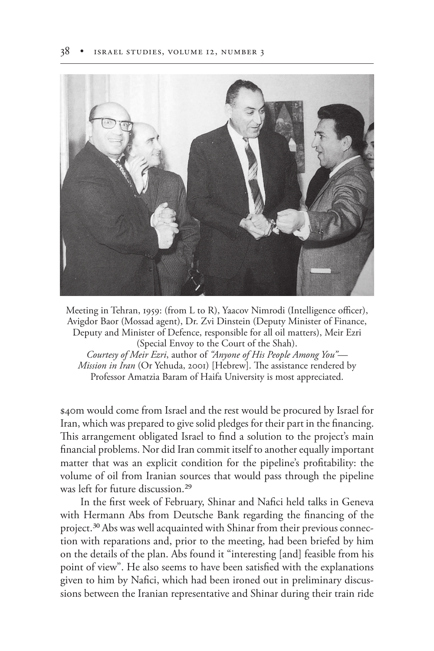

Meeting in Tehran, 1959: (from L to R), Yaacov Nimrodi (Intelligence officer), Avigdor Baor (Mossad agent), Dr. Zvi Dinstein (Deputy Minister of Finance, Deputy and Minister of Defence, responsible for all oil matters), Meir Ezri (Special Envoy to the Court of the Shah).

*Courtesy of Meir Ezri*, author of *"Anyone of His People Among You"— Mission in Iran* (Or Yehuda, 2001) [Hebrew]. The assistance rendered by Professor Amatzia Baram of Haifa University is most appreciated.

\$40m would come from Israel and the rest would be procured by Israel for Iran, which was prepared to give solid pledges for their part in the financing. This arrangement obligated Israel to find a solution to the project's main financial problems. Nor did Iran commit itself to another equally important matter that was an explicit condition for the pipeline's profitability: the volume of oil from Iranian sources that would pass through the pipeline was left for future discussion.29

In the first week of February, Shinar and Nafici held talks in Geneva with Hermann Abs from Deutsche Bank regarding the financing of the project.30 Abs was well acquainted with Shinar from their previous connection with reparations and, prior to the meeting, had been briefed by him on the details of the plan. Abs found it "interesting [and] feasible from his point of view". He also seems to have been satisfied with the explanations given to him by Nafici, which had been ironed out in preliminary discussions between the Iranian representative and Shinar during their train ride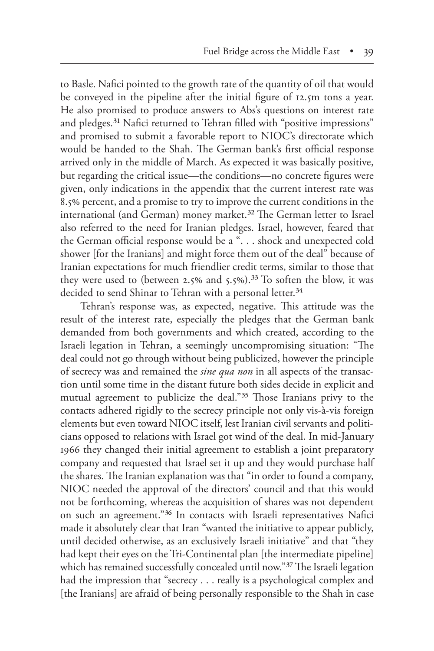to Basle. Nafici pointed to the growth rate of the quantity of oil that would be conveyed in the pipeline after the initial figure of 12.5m tons a year. He also promised to produce answers to Abs's questions on interest rate and pledges.31 Nafici returned to Tehran filled with "positive impressions" and promised to submit a favorable report to NIOC's directorate which would be handed to the Shah. The German bank's first official response arrived only in the middle of March. As expected it was basically positive, but regarding the critical issue—the conditions—no concrete figures were given, only indications in the appendix that the current interest rate was 8.5% percent, and a promise to try to improve the current conditions in the international (and German) money market.<sup>32</sup> The German letter to Israel also referred to the need for Iranian pledges. Israel, however, feared that the German official response would be a ". . . shock and unexpected cold shower [for the Iranians] and might force them out of the deal" because of Iranian expectations for much friendlier credit terms, similar to those that they were used to (between 2.5% and 5.5%).<sup>33</sup> To soften the blow, it was decided to send Shinar to Tehran with a personal letter.<sup>34</sup>

Tehran's response was, as expected, negative. This attitude was the result of the interest rate, especially the pledges that the German bank demanded from both governments and which created, according to the Israeli legation in Tehran, a seemingly uncompromising situation: "The deal could not go through without being publicized, however the principle of secrecy was and remained the *sine qua non* in all aspects of the transaction until some time in the distant future both sides decide in explicit and mutual agreement to publicize the deal."35 Those Iranians privy to the contacts adhered rigidly to the secrecy principle not only vis-à-vis foreign elements but even toward NIOC itself, lest Iranian civil servants and politicians opposed to relations with Israel got wind of the deal. In mid-January 1966 they changed their initial agreement to establish a joint preparatory company and requested that Israel set it up and they would purchase half the shares. The Iranian explanation was that "in order to found a company, NIOC needed the approval of the directors' council and that this would not be forthcoming, whereas the acquisition of shares was not dependent on such an agreement."36 In contacts with Israeli representatives Nafici made it absolutely clear that Iran "wanted the initiative to appear publicly, until decided otherwise, as an exclusively Israeli initiative" and that "they had kept their eyes on the Tri-Continental plan [the intermediate pipeline] which has remained successfully concealed until now."<sup>37</sup> The Israeli legation had the impression that "secrecy . . . really is a psychological complex and [the Iranians] are afraid of being personally responsible to the Shah in case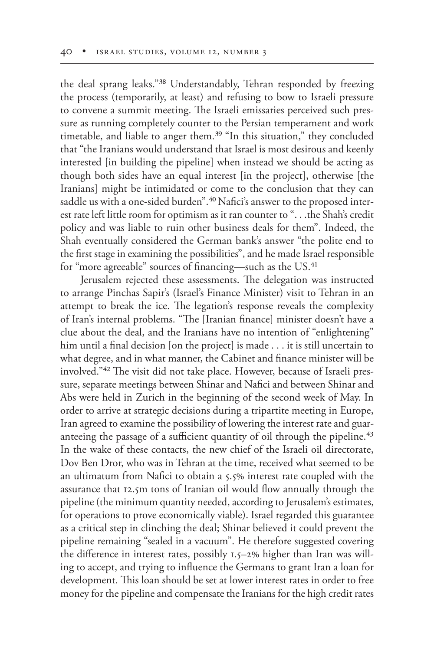the deal sprang leaks."38 Understandably, Tehran responded by freezing the process (temporarily, at least) and refusing to bow to Israeli pressure to convene a summit meeting. The Israeli emissaries perceived such pressure as running completely counter to the Persian temperament and work timetable, and liable to anger them.<sup>39</sup> "In this situation," they concluded that "the Iranians would understand that Israel is most desirous and keenly interested [in building the pipeline] when instead we should be acting as though both sides have an equal interest [in the project], otherwise [the Iranians] might be intimidated or come to the conclusion that they can saddle us with a one-sided burden".<sup>40</sup> Nafici's answer to the proposed interest rate left little room for optimism as it ran counter to ". . .the Shah's credit policy and was liable to ruin other business deals for them". Indeed, the Shah eventually considered the German bank's answer "the polite end to the first stage in examining the possibilities", and he made Israel responsible for "more agreeable" sources of financing—such as the US.<sup>41</sup>

Jerusalem rejected these assessments. The delegation was instructed to arrange Pinchas Sapir's (Israel's Finance Minister) visit to Tehran in an attempt to break the ice. The legation's response reveals the complexity of Iran's internal problems. "The [Iranian finance] minister doesn't have a clue about the deal, and the Iranians have no intention of "enlightening" him until a final decision [on the project] is made . . . it is still uncertain to what degree, and in what manner, the Cabinet and finance minister will be involved."42 The visit did not take place. However, because of Israeli pressure, separate meetings between Shinar and Nafici and between Shinar and Abs were held in Zurich in the beginning of the second week of May. In order to arrive at strategic decisions during a tripartite meeting in Europe, Iran agreed to examine the possibility of lowering the interest rate and guaranteeing the passage of a sufficient quantity of oil through the pipeline.<sup>43</sup> In the wake of these contacts, the new chief of the Israeli oil directorate, Dov Ben Dror, who was in Tehran at the time, received what seemed to be an ultimatum from Nafici to obtain a 5.5% interest rate coupled with the assurance that 12.5m tons of Iranian oil would flow annually through the pipeline (the minimum quantity needed, according to Jerusalem's estimates, for operations to prove economically viable). Israel regarded this guarantee as a critical step in clinching the deal; Shinar believed it could prevent the pipeline remaining "sealed in a vacuum". He therefore suggested covering the difference in interest rates, possibly 1.5–2% higher than Iran was willing to accept, and trying to influence the Germans to grant Iran a loan for development. This loan should be set at lower interest rates in order to free money for the pipeline and compensate the Iranians for the high credit rates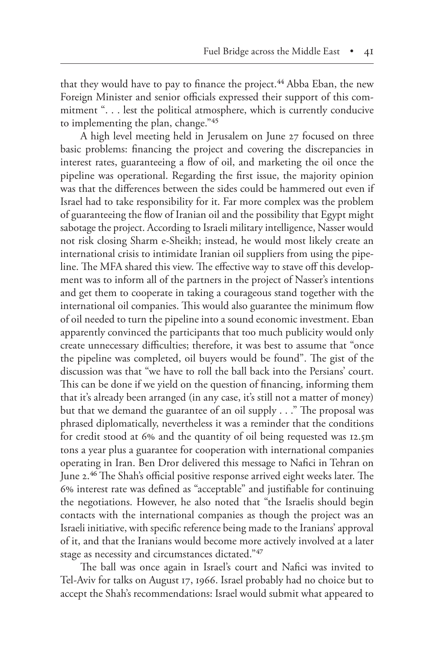that they would have to pay to finance the project.<sup>44</sup> Abba Eban, the new Foreign Minister and senior officials expressed their support of this commitment ". . . lest the political atmosphere, which is currently conducive to implementing the plan, change."45

A high level meeting held in Jerusalem on June 27 focused on three basic problems: financing the project and covering the discrepancies in interest rates, guaranteeing a flow of oil, and marketing the oil once the pipeline was operational. Regarding the first issue, the majority opinion was that the differences between the sides could be hammered out even if Israel had to take responsibility for it. Far more complex was the problem of guaranteeing the flow of Iranian oil and the possibility that Egypt might sabotage the project. According to Israeli military intelligence, Nasser would not risk closing Sharm e-Sheikh; instead, he would most likely create an international crisis to intimidate Iranian oil suppliers from using the pipeline. The MFA shared this view. The effective way to stave off this development was to inform all of the partners in the project of Nasser's intentions and get them to cooperate in taking a courageous stand together with the international oil companies. This would also guarantee the minimum flow of oil needed to turn the pipeline into a sound economic investment. Eban apparently convinced the participants that too much publicity would only create unnecessary difficulties; therefore, it was best to assume that "once the pipeline was completed, oil buyers would be found". The gist of the discussion was that "we have to roll the ball back into the Persians' court. This can be done if we yield on the question of financing, informing them that it's already been arranged (in any case, it's still not a matter of money) but that we demand the guarantee of an oil supply . . ." The proposal was phrased diplomatically, nevertheless it was a reminder that the conditions for credit stood at 6% and the quantity of oil being requested was 12.5m tons a year plus a guarantee for cooperation with international companies operating in Iran. Ben Dror delivered this message to Nafici in Tehran on June 2.46 The Shah's official positive response arrived eight weeks later. The 6% interest rate was defined as "acceptable" and justifiable for continuing the negotiations. However, he also noted that "the Israelis should begin contacts with the international companies as though the project was an Israeli initiative, with specific reference being made to the Iranians' approval of it, and that the Iranians would become more actively involved at a later stage as necessity and circumstances dictated."47

The ball was once again in Israel's court and Nafici was invited to Tel-Aviv for talks on August 17, 1966. Israel probably had no choice but to accept the Shah's recommendations: Israel would submit what appeared to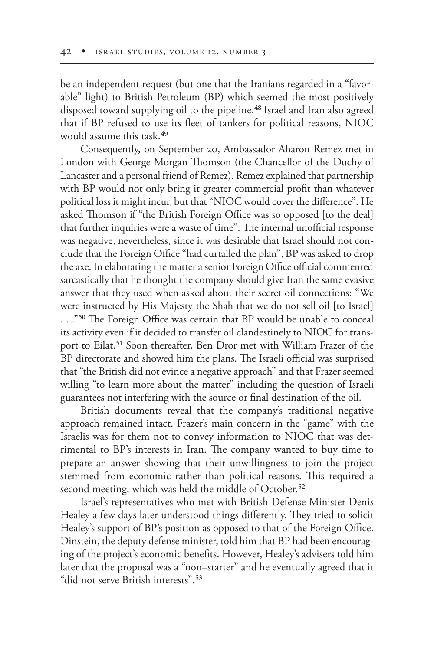be an independent request (but one that the Iranians regarded in a "favorable" light) to British Petroleum (BP) which seemed the most positively disposed toward supplying oil to the pipeline.<sup>48</sup> Israel and Iran also agreed that if BP refused to use its fleet of tankers for political reasons, NIOC would assume this task.<sup>49</sup>

Consequently, on September 20, Ambassador Aharon Remez met in London with George Morgan Thomson (the Chancellor of the Duchy of Lancaster and a personal friend of Remez). Remez explained that partnership with BP would not only bring it greater commercial profit than whatever political loss it might incur, but that "NIOC would cover the difference". He asked Thomson if "the British Foreign Office was so opposed [to the deal] that further inquiries were a waste of time". The internal unofficial response was negative, nevertheless, since it was desirable that Israel should not conclude that the Foreign Office "had curtailed the plan", BP was asked to drop the axe. In elaborating the matter a senior Foreign Office official commented sarcastically that he thought the company should give Iran the same evasive answer that they used when asked about their secret oil connections: "We were instructed by His Majesty the Shah that we do not sell oil [to Israel] ..."<sup>50</sup> The Foreign Office was certain that BP would be unable to conceal its activity even if it decided to transfer oil clandestinely to NIOC for transport to Eilat.51 Soon thereafter, Ben Dror met with William Frazer of the BP directorate and showed him the plans. The Israeli official was surprised that "the British did not evince a negative approach" and that Frazer seemed willing "to learn more about the matter" including the question of Israeli guarantees not interfering with the source or final destination of the oil.

British documents reveal that the company's traditional negative approach remained intact. Frazer's main concern in the "game" with the Israelis was for them not to convey information to NIOC that was detrimental to BP's interests in Iran. The company wanted to buy time to prepare an answer showing that their unwillingness to join the project stemmed from economic rather than political reasons. This required a second meeting, which was held the middle of October.<sup>52</sup>

Israel's representatives who met with British Defense Minister Denis Healey a few days later understood things differently. They tried to solicit Healey's support of BP's position as opposed to that of the Foreign Office. Dinstein, the deputy defense minister, told him that BP had been encouraging of the project's economic benefits. However, Healey's advisers told him later that the proposal was a "non–starter" and he eventually agreed that it "did not serve British interests".53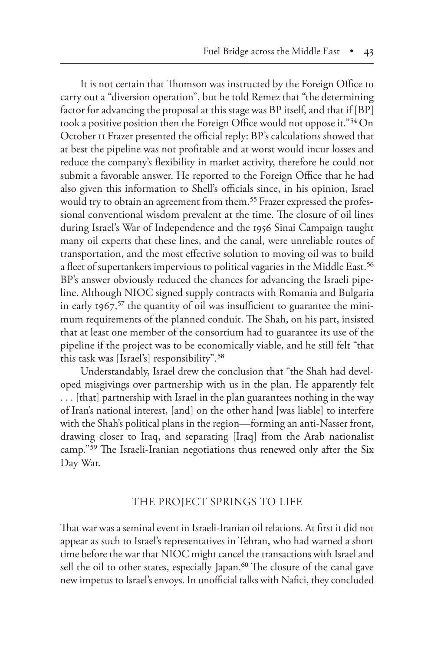It is not certain that Thomson was instructed by the Foreign Office to carry out a "diversion operation", but he told Remez that "the determining factor for advancing the proposal at this stage was BP itself, and that if [BP] took a positive position then the Foreign Office would not oppose it."<sup>54</sup> On October 11 Frazer presented the official reply: BP's calculations showed that at best the pipeline was not profitable and at worst would incur losses and reduce the company's flexibility in market activity, therefore he could not submit a favorable answer. He reported to the Foreign Office that he had also given this information to Shell's officials since, in his opinion, Israel would try to obtain an agreement from them.<sup>55</sup> Frazer expressed the professional conventional wisdom prevalent at the time. The closure of oil lines during Israel's War of Independence and the 1956 Sinai Campaign taught many oil experts that these lines, and the canal, were unreliable routes of transportation, and the most effective solution to moving oil was to build a fleet of supertankers impervious to political vagaries in the Middle East.<sup>56</sup> BP's answer obviously reduced the chances for advancing the Israeli pipeline. Although NIOC signed supply contracts with Romania and Bulgaria in early  $1967$ ,<sup>57</sup> the quantity of oil was insufficient to guarantee the minimum requirements of the planned conduit. The Shah, on his part, insisted that at least one member of the consortium had to guarantee its use of the pipeline if the project was to be economically viable, and he still felt "that this task was [Israel's] responsibility".58

Understandably, Israel drew the conclusion that "the Shah had developed misgivings over partnership with us in the plan. He apparently felt . . . [that] partnership with Israel in the plan guarantees nothing in the way of Iran's national interest, [and] on the other hand [was liable] to interfere with the Shah's political plans in the region—forming an anti-Nasser front, drawing closer to Iraq, and separating [Iraq] from the Arab nationalist camp."59 The Israeli-Iranian negotiations thus renewed only after the Six Day War.

## THE PROJECT SPRINGS TO LIFE

That war was a seminal event in Israeli-Iranian oil relations. At first it did not appear as such to Israel's representatives in Tehran, who had warned a short time before the war that NIOC might cancel the transactions with Israel and sell the oil to other states, especially Japan.<sup>60</sup> The closure of the canal gave new impetus to Israel's envoys. In unofficial talks with Nafici, they concluded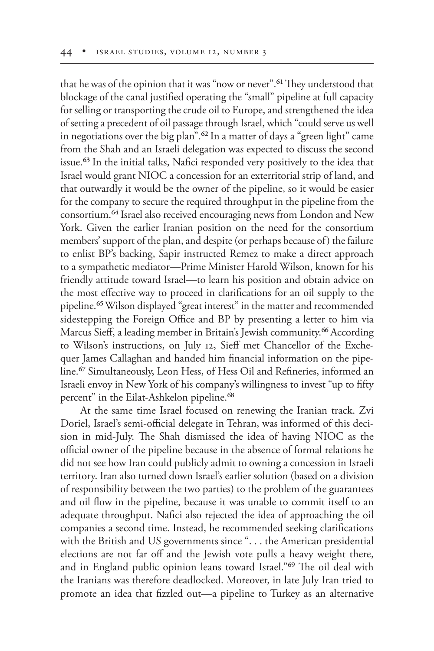that he was of the opinion that it was "now or never".<sup>61</sup> They understood that blockage of the canal justified operating the "small" pipeline at full capacity for selling or transporting the crude oil to Europe, and strengthened the idea of setting a precedent of oil passage through Israel, which "could serve us well in negotiations over the big plan".62 In a matter of days a "green light" came from the Shah and an Israeli delegation was expected to discuss the second issue.63 In the initial talks, Nafici responded very positively to the idea that Israel would grant NIOC a concession for an exterritorial strip of land, and that outwardly it would be the owner of the pipeline, so it would be easier for the company to secure the required throughput in the pipeline from the consortium.64 Israel also received encouraging news from London and New York. Given the earlier Iranian position on the need for the consortium members' support of the plan, and despite (or perhaps because of) the failure to enlist BP's backing, Sapir instructed Remez to make a direct approach to a sympathetic mediator—Prime Minister Harold Wilson, known for his friendly attitude toward Israel—to learn his position and obtain advice on the most effective way to proceed in clarifications for an oil supply to the pipeline.65 Wilson displayed "great interest" in the matter and recommended sidestepping the Foreign Office and BP by presenting a letter to him via Marcus Sieff, a leading member in Britain's Jewish community.<sup>66</sup> According to Wilson's instructions, on July 12, Sieff met Chancellor of the Exchequer James Callaghan and handed him financial information on the pipeline.<sup>67</sup> Simultaneously, Leon Hess, of Hess Oil and Refineries, informed an Israeli envoy in New York of his company's willingness to invest "up to fifty percent" in the Eilat-Ashkelon pipeline.<sup>68</sup>

At the same time Israel focused on renewing the Iranian track. Zvi Doriel, Israel's semi-official delegate in Tehran, was informed of this decision in mid-July. The Shah dismissed the idea of having NIOC as the official owner of the pipeline because in the absence of formal relations he did not see how Iran could publicly admit to owning a concession in Israeli territory. Iran also turned down Israel's earlier solution (based on a division of responsibility between the two parties) to the problem of the guarantees and oil flow in the pipeline, because it was unable to commit itself to an adequate throughput. Nafici also rejected the idea of approaching the oil companies a second time. Instead, he recommended seeking clarifications with the British and US governments since ". . . the American presidential elections are not far off and the Jewish vote pulls a heavy weight there, and in England public opinion leans toward Israel."69 The oil deal with the Iranians was therefore deadlocked. Moreover, in late July Iran tried to promote an idea that fizzled out—a pipeline to Turkey as an alternative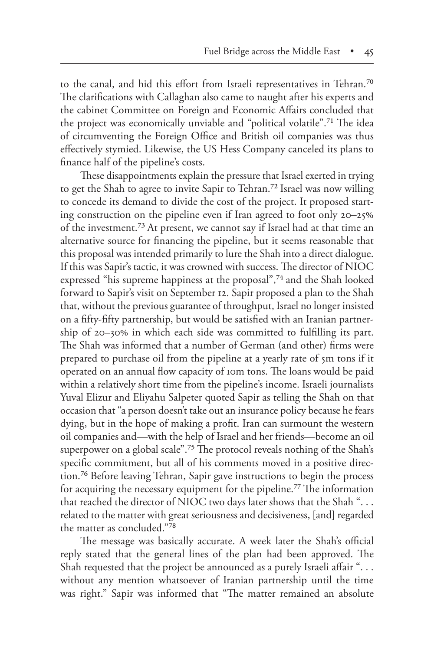to the canal, and hid this effort from Israeli representatives in Tehran.70 The clarifications with Callaghan also came to naught after his experts and the cabinet Committee on Foreign and Economic Affairs concluded that the project was economically unviable and "political volatile".71 The idea of circumventing the Foreign Office and British oil companies was thus effectively stymied. Likewise, the US Hess Company canceled its plans to finance half of the pipeline's costs.

These disappointments explain the pressure that Israel exerted in trying to get the Shah to agree to invite Sapir to Tehran.<sup>72</sup> Israel was now willing to concede its demand to divide the cost of the project. It proposed starting construction on the pipeline even if Iran agreed to foot only 20–25% of the investment.73 At present, we cannot say if Israel had at that time an alternative source for financing the pipeline, but it seems reasonable that this proposal was intended primarily to lure the Shah into a direct dialogue. If this was Sapir's tactic, it was crowned with success. The director of NIOC expressed "his supreme happiness at the proposal",<sup>74</sup> and the Shah looked forward to Sapir's visit on September 12. Sapir proposed a plan to the Shah that, without the previous guarantee of throughput, Israel no longer insisted on a fifty-fifty partnership, but would be satisfied with an Iranian partnership of 20–30% in which each side was committed to fulfilling its part. The Shah was informed that a number of German (and other) firms were prepared to purchase oil from the pipeline at a yearly rate of 5m tons if it operated on an annual flow capacity of 10m tons. The loans would be paid within a relatively short time from the pipeline's income. Israeli journalists Yuval Elizur and Eliyahu Salpeter quoted Sapir as telling the Shah on that occasion that "a person doesn't take out an insurance policy because he fears dying, but in the hope of making a profit. Iran can surmount the western oil companies and—with the help of Israel and her friends—become an oil superpower on a global scale".<sup>75</sup> The protocol reveals nothing of the Shah's specific commitment, but all of his comments moved in a positive direction.76 Before leaving Tehran, Sapir gave instructions to begin the process for acquiring the necessary equipment for the pipeline.77 The information that reached the director of NIOC two days later shows that the Shah ".  $\dots$ related to the matter with great seriousness and decisiveness, [and] regarded the matter as concluded."78

The message was basically accurate. A week later the Shah's official reply stated that the general lines of the plan had been approved. The Shah requested that the project be announced as a purely Israeli affair ". . . without any mention whatsoever of Iranian partnership until the time was right." Sapir was informed that "The matter remained an absolute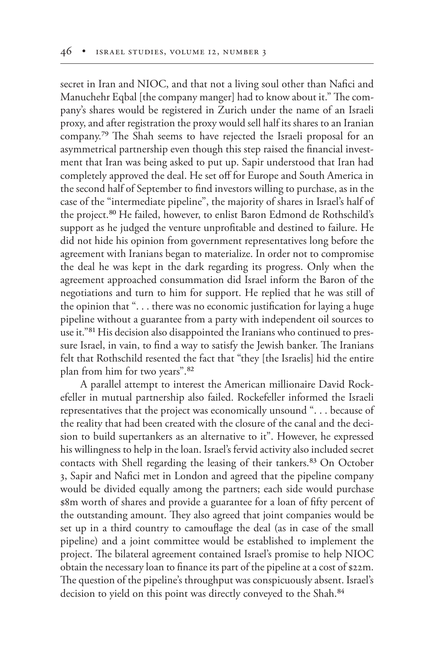secret in Iran and NIOC, and that not a living soul other than Nafici and Manuchehr Eqbal [the company manger] had to know about it." The company's shares would be registered in Zurich under the name of an Israeli proxy, and after registration the proxy would sell half its shares to an Iranian company.79 The Shah seems to have rejected the Israeli proposal for an asymmetrical partnership even though this step raised the financial investment that Iran was being asked to put up. Sapir understood that Iran had completely approved the deal. He set off for Europe and South America in the second half of September to find investors willing to purchase, as in the case of the "intermediate pipeline", the majority of shares in Israel's half of the project.<sup>80</sup> He failed, however, to enlist Baron Edmond de Rothschild's support as he judged the venture unprofitable and destined to failure. He did not hide his opinion from government representatives long before the agreement with Iranians began to materialize. In order not to compromise the deal he was kept in the dark regarding its progress. Only when the agreement approached consummation did Israel inform the Baron of the negotiations and turn to him for support. He replied that he was still of the opinion that ". . . there was no economic justification for laying a huge pipeline without a guarantee from a party with independent oil sources to use it."81 His decision also disappointed the Iranians who continued to pressure Israel, in vain, to find a way to satisfy the Jewish banker. The Iranians felt that Rothschild resented the fact that "they [the Israelis] hid the entire plan from him for two years".82

A parallel attempt to interest the American millionaire David Rockefeller in mutual partnership also failed. Rockefeller informed the Israeli representatives that the project was economically unsound ". . . because of the reality that had been created with the closure of the canal and the decision to build supertankers as an alternative to it". However, he expressed his willingness to help in the loan. Israel's fervid activity also included secret contacts with Shell regarding the leasing of their tankers.<sup>83</sup> On October 3, Sapir and Nafici met in London and agreed that the pipeline company would be divided equally among the partners; each side would purchase \$8m worth of shares and provide a guarantee for a loan of fifty percent of the outstanding amount. They also agreed that joint companies would be set up in a third country to camouflage the deal (as in case of the small pipeline) and a joint committee would be established to implement the project. The bilateral agreement contained Israel's promise to help NIOC obtain the necessary loan to finance its part of the pipeline at a cost of \$22m. The question of the pipeline's throughput was conspicuously absent. Israel's decision to yield on this point was directly conveyed to the Shah.<sup>84</sup>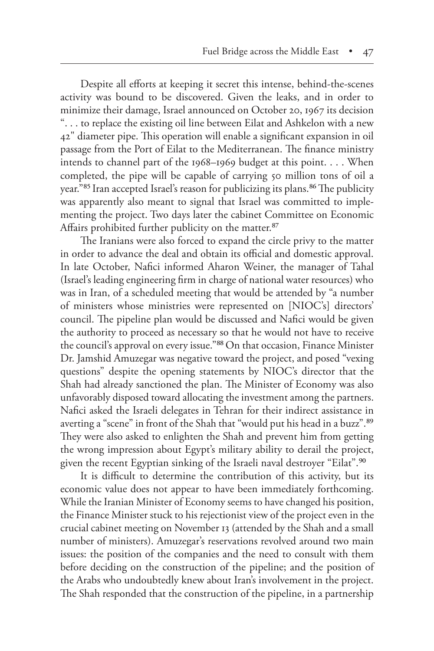Despite all efforts at keeping it secret this intense, behind-the-scenes activity was bound to be discovered. Given the leaks, and in order to minimize their damage, Israel announced on October 20, 1967 its decision ". . . to replace the existing oil line between Eilat and Ashkelon with a new 42" diameter pipe. This operation will enable a significant expansion in oil passage from the Port of Eilat to the Mediterranean. The finance ministry intends to channel part of the 1968–1969 budget at this point. . . . When completed, the pipe will be capable of carrying 50 million tons of oil a year."<sup>85</sup> Iran accepted Israel's reason for publicizing its plans.<sup>86</sup> The publicity was apparently also meant to signal that Israel was committed to implementing the project. Two days later the cabinet Committee on Economic Affairs prohibited further publicity on the matter.<sup>87</sup>

The Iranians were also forced to expand the circle privy to the matter in order to advance the deal and obtain its official and domestic approval. In late October, Nafici informed Aharon Weiner, the manager of Tahal (Israel's leading engineering firm in charge of national water resources) who was in Iran, of a scheduled meeting that would be attended by "a number of ministers whose ministries were represented on [NIOC's] directors' council. The pipeline plan would be discussed and Nafici would be given the authority to proceed as necessary so that he would not have to receive the council's approval on every issue."88 On that occasion, Finance Minister Dr. Jamshid Amuzegar was negative toward the project, and posed "vexing questions" despite the opening statements by NIOC's director that the Shah had already sanctioned the plan. The Minister of Economy was also unfavorably disposed toward allocating the investment among the partners. Nafici asked the Israeli delegates in Tehran for their indirect assistance in averting a "scene" in front of the Shah that "would put his head in a buzz".89 They were also asked to enlighten the Shah and prevent him from getting the wrong impression about Egypt's military ability to derail the project, given the recent Egyptian sinking of the Israeli naval destroyer "Eilat".90

It is difficult to determine the contribution of this activity, but its economic value does not appear to have been immediately forthcoming. While the Iranian Minister of Economy seems to have changed his position, the Finance Minister stuck to his rejectionist view of the project even in the crucial cabinet meeting on November 13 (attended by the Shah and a small number of ministers). Amuzegar's reservations revolved around two main issues: the position of the companies and the need to consult with them before deciding on the construction of the pipeline; and the position of the Arabs who undoubtedly knew about Iran's involvement in the project. The Shah responded that the construction of the pipeline, in a partnership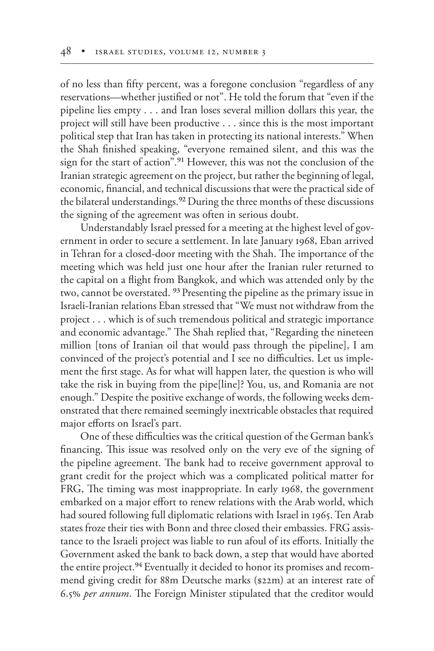of no less than fifty percent, was a foregone conclusion "regardless of any reservations—whether justified or not". He told the forum that "even if the pipeline lies empty . . . and Iran loses several million dollars this year, the project will still have been productive . . . since this is the most important political step that Iran has taken in protecting its national interests." When the Shah finished speaking, "everyone remained silent, and this was the sign for the start of action".91 However, this was not the conclusion of the Iranian strategic agreement on the project, but rather the beginning of legal, economic, financial, and technical discussions that were the practical side of the bilateral understandings.<sup>92</sup> During the three months of these discussions the signing of the agreement was often in serious doubt.

Understandably Israel pressed for a meeting at the highest level of government in order to secure a settlement. In late January 1968, Eban arrived in Tehran for a closed-door meeting with the Shah. The importance of the meeting which was held just one hour after the Iranian ruler returned to the capital on a flight from Bangkok, and which was attended only by the two, cannot be overstated. 93 Presenting the pipeline as the primary issue in Israeli-Iranian relations Eban stressed that "We must not withdraw from the project . . . which is of such tremendous political and strategic importance and economic advantage." The Shah replied that, "Regarding the nineteen million [tons of Iranian oil that would pass through the pipeline], I am convinced of the project's potential and I see no difficulties. Let us implement the first stage. As for what will happen later, the question is who will take the risk in buying from the pipe[line]? You, us, and Romania are not enough." Despite the positive exchange of words, the following weeks demonstrated that there remained seemingly inextricable obstacles that required major efforts on Israel's part.

One of these difficulties was the critical question of the German bank's financing. This issue was resolved only on the very eve of the signing of the pipeline agreement. The bank had to receive government approval to grant credit for the project which was a complicated political matter for FRG, The timing was most inappropriate. In early 1968, the government embarked on a major effort to renew relations with the Arab world, which had soured following full diplomatic relations with Israel in 1965. Ten Arab states froze their ties with Bonn and three closed their embassies. FRG assistance to the Israeli project was liable to run afoul of its efforts. Initially the Government asked the bank to back down, a step that would have aborted the entire project.<sup>94</sup> Eventually it decided to honor its promises and recommend giving credit for 88m Deutsche marks (\$22m) at an interest rate of 6.5% *per annum*. The Foreign Minister stipulated that the creditor would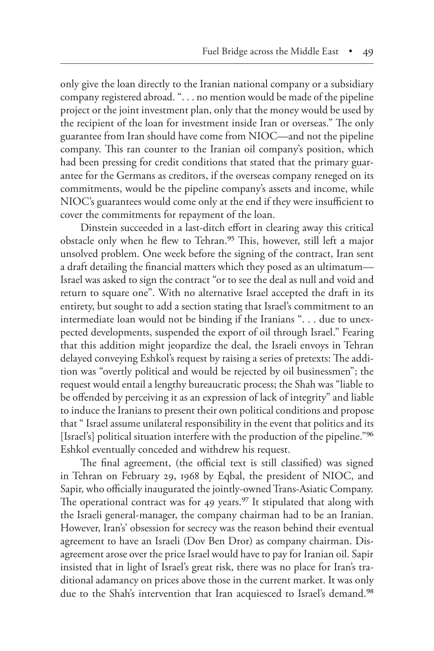only give the loan directly to the Iranian national company or a subsidiary company registered abroad. ". . . no mention would be made of the pipeline project or the joint investment plan, only that the money would be used by the recipient of the loan for investment inside Iran or overseas." The only guarantee from Iran should have come from NIOC—and not the pipeline company. This ran counter to the Iranian oil company's position, which had been pressing for credit conditions that stated that the primary guarantee for the Germans as creditors, if the overseas company reneged on its commitments, would be the pipeline company's assets and income, while NIOC's guarantees would come only at the end if they were insufficient to cover the commitments for repayment of the loan.

Dinstein succeeded in a last-ditch effort in clearing away this critical obstacle only when he flew to Tehran.<sup>95</sup> This, however, still left a major unsolved problem. One week before the signing of the contract, Iran sent a draft detailing the financial matters which they posed as an ultimatum— Israel was asked to sign the contract "or to see the deal as null and void and return to square one". With no alternative Israel accepted the draft in its entirety, but sought to add a section stating that Israel's commitment to an intermediate loan would not be binding if the Iranians ". . . due to unexpected developments, suspended the export of oil through Israel." Fearing that this addition might jeopardize the deal, the Israeli envoys in Tehran delayed conveying Eshkol's request by raising a series of pretexts: The addition was "overtly political and would be rejected by oil businessmen"; the request would entail a lengthy bureaucratic process; the Shah was "liable to be offended by perceiving it as an expression of lack of integrity" and liable to induce the Iranians to present their own political conditions and propose that " Israel assume unilateral responsibility in the event that politics and its [Israel's] political situation interfere with the production of the pipeline."<sup>96</sup> Eshkol eventually conceded and withdrew his request.

The final agreement, (the official text is still classified) was signed in Tehran on February 29, 1968 by Eqbal, the president of NIOC, and Sapir, who officially inaugurated the jointly-owned Trans-Asiatic Company. The operational contract was for 49 years.<sup>97</sup> It stipulated that along with the Israeli general-manager, the company chairman had to be an Iranian. However, Iran's' obsession for secrecy was the reason behind their eventual agreement to have an Israeli (Dov Ben Dror) as company chairman. Disagreement arose over the price Israel would have to pay for Iranian oil. Sapir insisted that in light of Israel's great risk, there was no place for Iran's traditional adamancy on prices above those in the current market. It was only due to the Shah's intervention that Iran acquiesced to Israel's demand.<sup>98</sup>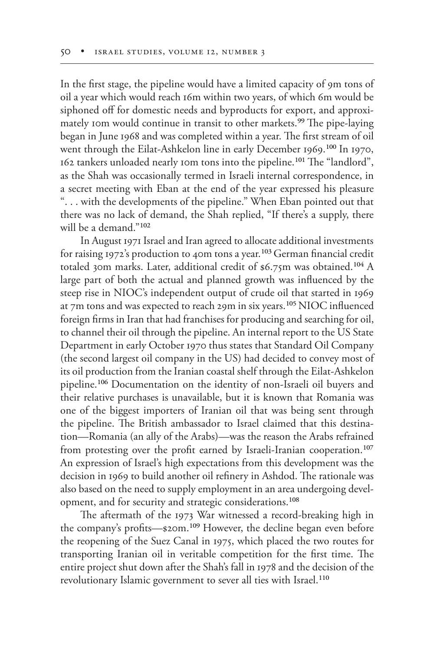In the first stage, the pipeline would have a limited capacity of 9m tons of oil a year which would reach 16m within two years, of which 6m would be siphoned off for domestic needs and byproducts for export, and approximately 10m would continue in transit to other markets.<sup>99</sup> The pipe-laying began in June 1968 and was completed within a year. The first stream of oil went through the Eilat-Ashkelon line in early December 1969.<sup>100</sup> In 1970, 162 tankers unloaded nearly 10m tons into the pipeline.<sup>101</sup> The "landlord", as the Shah was occasionally termed in Israeli internal correspondence, in a secret meeting with Eban at the end of the year expressed his pleasure ". . . with the developments of the pipeline." When Eban pointed out that there was no lack of demand, the Shah replied, "If there's a supply, there will be a demand."102

In August 1971 Israel and Iran agreed to allocate additional investments for raising 1972's production to 40m tons a year.<sup>103</sup> German financial credit totaled 30m marks. Later, additional credit of \$6.75m was obtained.<sup>104</sup> A large part of both the actual and planned growth was influenced by the steep rise in NIOC's independent output of crude oil that started in 1969 at 7m tons and was expected to reach 29m in six years.105 NIOC influenced foreign firms in Iran that had franchises for producing and searching for oil, to channel their oil through the pipeline. An internal report to the US State Department in early October 1970 thus states that Standard Oil Company (the second largest oil company in the US) had decided to convey most of its oil production from the Iranian coastal shelf through the Eilat-Ashkelon pipeline.106 Documentation on the identity of non-Israeli oil buyers and their relative purchases is unavailable, but it is known that Romania was one of the biggest importers of Iranian oil that was being sent through the pipeline. The British ambassador to Israel claimed that this destination—Romania (an ally of the Arabs)—was the reason the Arabs refrained from protesting over the profit earned by Israeli-Iranian cooperation.<sup>107</sup> An expression of Israel's high expectations from this development was the decision in 1969 to build another oil refinery in Ashdod. The rationale was also based on the need to supply employment in an area undergoing development, and for security and strategic considerations.108

The aftermath of the 1973 War witnessed a record-breaking high in the company's profits—\$20m.<sup>109</sup> However, the decline began even before the reopening of the Suez Canal in 1975, which placed the two routes for transporting Iranian oil in veritable competition for the first time. The entire project shut down after the Shah's fall in 1978 and the decision of the revolutionary Islamic government to sever all ties with Israel.<sup>110</sup>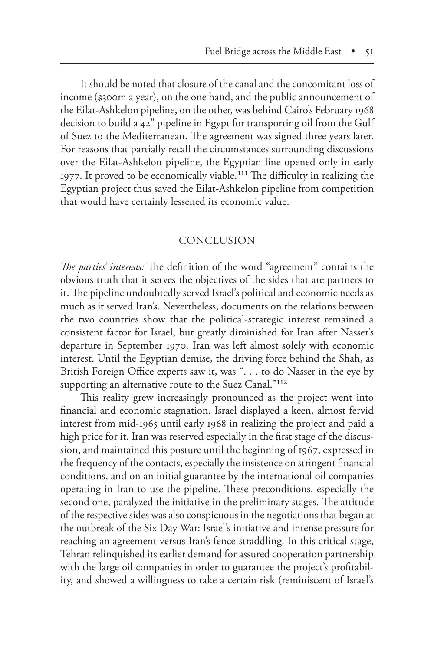It should be noted that closure of the canal and the concomitant loss of income (\$300m a year), on the one hand, and the public announcement of the Eilat-Ashkelon pipeline, on the other, was behind Cairo's February 1968 decision to build a 42" pipeline in Egypt for transporting oil from the Gulf of Suez to the Mediterranean. The agreement was signed three years later. For reasons that partially recall the circumstances surrounding discussions over the Eilat-Ashkelon pipeline, the Egyptian line opened only in early 1977. It proved to be economically viable.111 The difficulty in realizing the Egyptian project thus saved the Eilat-Ashkelon pipeline from competition that would have certainly lessened its economic value.

#### CONCLUSION

*The parties' interests:* The definition of the word "agreement" contains the obvious truth that it serves the objectives of the sides that are partners to it. The pipeline undoubtedly served Israel's political and economic needs as much as it served Iran's. Nevertheless, documents on the relations between the two countries show that the political-strategic interest remained a consistent factor for Israel, but greatly diminished for Iran after Nasser's departure in September 1970. Iran was left almost solely with economic interest. Until the Egyptian demise, the driving force behind the Shah, as British Foreign Office experts saw it, was ". . . to do Nasser in the eye by supporting an alternative route to the Suez Canal."<sup>112</sup>

This reality grew increasingly pronounced as the project went into financial and economic stagnation. Israel displayed a keen, almost fervid interest from mid-1965 until early 1968 in realizing the project and paid a high price for it. Iran was reserved especially in the first stage of the discussion, and maintained this posture until the beginning of 1967, expressed in the frequency of the contacts, especially the insistence on stringent financial conditions, and on an initial guarantee by the international oil companies operating in Iran to use the pipeline. These preconditions, especially the second one, paralyzed the initiative in the preliminary stages. The attitude of the respective sides was also conspicuous in the negotiations that began at the outbreak of the Six Day War: Israel's initiative and intense pressure for reaching an agreement versus Iran's fence-straddling. In this critical stage, Tehran relinquished its earlier demand for assured cooperation partnership with the large oil companies in order to guarantee the project's profitability, and showed a willingness to take a certain risk (reminiscent of Israel's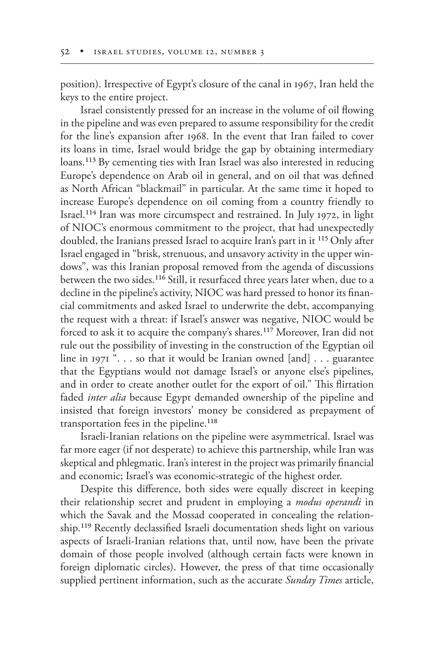position). Irrespective of Egypt's closure of the canal in 1967, Iran held the keys to the entire project.

Israel consistently pressed for an increase in the volume of oil flowing in the pipeline and was even prepared to assume responsibility for the credit for the line's expansion after 1968. In the event that Iran failed to cover its loans in time, Israel would bridge the gap by obtaining intermediary loans.<sup>113</sup> By cementing ties with Iran Israel was also interested in reducing Europe's dependence on Arab oil in general, and on oil that was defined as North African "blackmail" in particular. At the same time it hoped to increase Europe's dependence on oil coming from a country friendly to Israel.114 Iran was more circumspect and restrained. In July 1972, in light of NIOC's enormous commitment to the project, that had unexpectedly doubled, the Iranians pressed Israel to acquire Iran's part in it 115 Only after Israel engaged in "brisk, strenuous, and unsavory activity in the upper windows", was this Iranian proposal removed from the agenda of discussions between the two sides.<sup>116</sup> Still, it resurfaced three years later when, due to a decline in the pipeline's activity, NIOC was hard pressed to honor its financial commitments and asked Israel to underwrite the debt, accompanying the request with a threat: if Israel's answer was negative, NIOC would be forced to ask it to acquire the company's shares.<sup>117</sup> Moreover, Iran did not rule out the possibility of investing in the construction of the Egyptian oil line in 1971 ". . . so that it would be Iranian owned [and] . . . guarantee that the Egyptians would not damage Israel's or anyone else's pipelines, and in order to create another outlet for the export of oil." This flirtation faded *inter alia* because Egypt demanded ownership of the pipeline and insisted that foreign investors' money be considered as prepayment of transportation fees in the pipeline.<sup>118</sup>

Israeli-Iranian relations on the pipeline were asymmetrical. Israel was far more eager (if not desperate) to achieve this partnership, while Iran was skeptical and phlegmatic. Iran's interest in the project was primarily financial and economic; Israel's was economic-strategic of the highest order.

Despite this difference, both sides were equally discreet in keeping their relationship secret and prudent in employing a *modus operandi* in which the Savak and the Mossad cooperated in concealing the relationship.<sup>119</sup> Recently declassified Israeli documentation sheds light on various aspects of Israeli-Iranian relations that, until now, have been the private domain of those people involved (although certain facts were known in foreign diplomatic circles). However, the press of that time occasionally supplied pertinent information, such as the accurate *Sunday Times* article,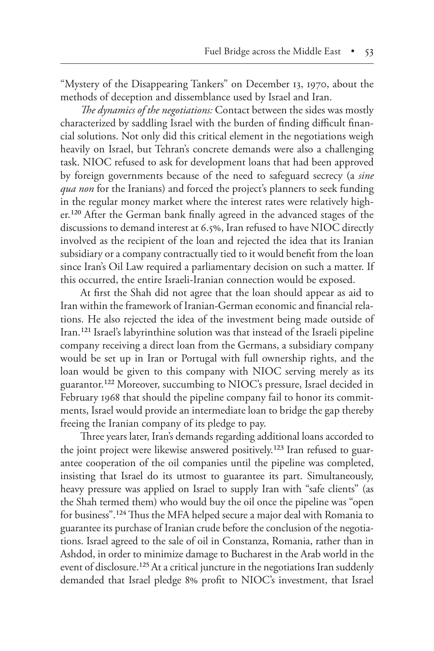"Mystery of the Disappearing Tankers" on December 13, 1970, about the methods of deception and dissemblance used by Israel and Iran.

*The dynamics of the negotiations:* Contact between the sides was mostly characterized by saddling Israel with the burden of finding difficult financial solutions. Not only did this critical element in the negotiations weigh heavily on Israel, but Tehran's concrete demands were also a challenging task. NIOC refused to ask for development loans that had been approved by foreign governments because of the need to safeguard secrecy (a *sine qua non* for the Iranians) and forced the project's planners to seek funding in the regular money market where the interest rates were relatively higher.120 After the German bank finally agreed in the advanced stages of the discussions to demand interest at 6.5%, Iran refused to have NIOC directly involved as the recipient of the loan and rejected the idea that its Iranian subsidiary or a company contractually tied to it would benefit from the loan since Iran's Oil Law required a parliamentary decision on such a matter. If this occurred, the entire Israeli-Iranian connection would be exposed.

At first the Shah did not agree that the loan should appear as aid to Iran within the framework of Iranian-German economic and financial relations. He also rejected the idea of the investment being made outside of Iran.121 Israel's labyrinthine solution was that instead of the Israeli pipeline company receiving a direct loan from the Germans, a subsidiary company would be set up in Iran or Portugal with full ownership rights, and the loan would be given to this company with NIOC serving merely as its guarantor.122 Moreover, succumbing to NIOC's pressure, Israel decided in February 1968 that should the pipeline company fail to honor its commitments, Israel would provide an intermediate loan to bridge the gap thereby freeing the Iranian company of its pledge to pay.

Three years later, Iran's demands regarding additional loans accorded to the joint project were likewise answered positively.<sup>123</sup> Iran refused to guarantee cooperation of the oil companies until the pipeline was completed, insisting that Israel do its utmost to guarantee its part. Simultaneously, heavy pressure was applied on Israel to supply Iran with "safe clients" (as the Shah termed them) who would buy the oil once the pipeline was "open for business".124 Thus the MFA helped secure a major deal with Romania to guarantee its purchase of Iranian crude before the conclusion of the negotiations. Israel agreed to the sale of oil in Constanza, Romania, rather than in Ashdod, in order to minimize damage to Bucharest in the Arab world in the event of disclosure.<sup>125</sup> At a critical juncture in the negotiations Iran suddenly demanded that Israel pledge 8% profit to NIOC's investment, that Israel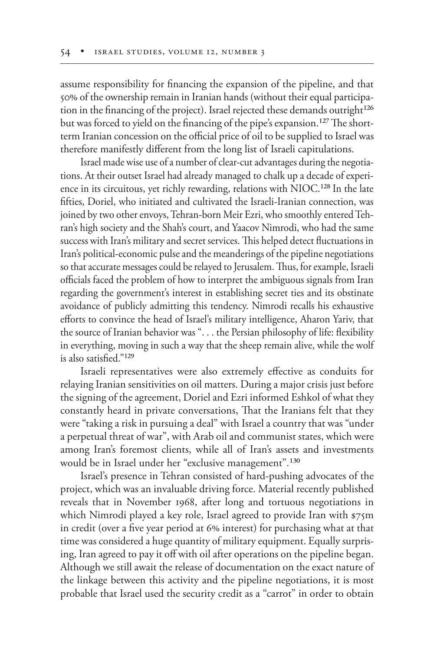assume responsibility for financing the expansion of the pipeline, and that 50% of the ownership remain in Iranian hands (without their equal participation in the financing of the project). Israel rejected these demands outright<sup>126</sup> but was forced to yield on the financing of the pipe's expansion.<sup>127</sup> The shortterm Iranian concession on the official price of oil to be supplied to Israel was therefore manifestly different from the long list of Israeli capitulations.

Israel made wise use of a number of clear-cut advantages during the negotiations. At their outset Israel had already managed to chalk up a decade of experience in its circuitous, yet richly rewarding, relations with NIOC.<sup>128</sup> In the late fifties, Doriel, who initiated and cultivated the Israeli-Iranian connection, was joined by two other envoys, Tehran-born Meir Ezri, who smoothly entered Tehran's high society and the Shah's court, and Yaacov Nimrodi, who had the same success with Iran's military and secret services. This helped detect fluctuations in Iran's political-economic pulse and the meanderings of the pipeline negotiations so that accurate messages could be relayed to Jerusalem. Thus, for example, Israeli officials faced the problem of how to interpret the ambiguous signals from Iran regarding the government's interest in establishing secret ties and its obstinate avoidance of publicly admitting this tendency. Nimrodi recalls his exhaustive efforts to convince the head of Israel's military intelligence, Aharon Yariv, that the source of Iranian behavior was ". . . the Persian philosophy of life: flexibility in everything, moving in such a way that the sheep remain alive, while the wolf is also satisfied."129

Israeli representatives were also extremely effective as conduits for relaying Iranian sensitivities on oil matters. During a major crisis just before the signing of the agreement, Doriel and Ezri informed Eshkol of what they constantly heard in private conversations, That the Iranians felt that they were "taking a risk in pursuing a deal" with Israel a country that was "under a perpetual threat of war", with Arab oil and communist states, which were among Iran's foremost clients, while all of Iran's assets and investments would be in Israel under her "exclusive management".130

Israel's presence in Tehran consisted of hard-pushing advocates of the project, which was an invaluable driving force. Material recently published reveals that in November 1968, after long and tortuous negotiations in which Nimrodi played a key role, Israel agreed to provide Iran with \$75m in credit (over a five year period at 6% interest) for purchasing what at that time was considered a huge quantity of military equipment. Equally surprising, Iran agreed to pay it off with oil after operations on the pipeline began. Although we still await the release of documentation on the exact nature of the linkage between this activity and the pipeline negotiations, it is most probable that Israel used the security credit as a "carrot" in order to obtain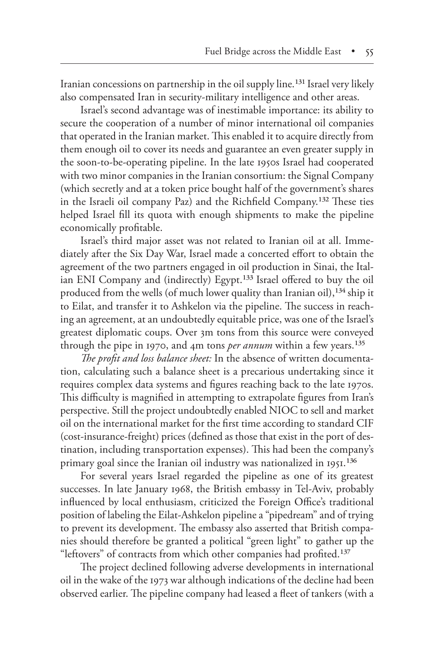Iranian concessions on partnership in the oil supply line.131 Israel very likely also compensated Iran in security-military intelligence and other areas.

Israel's second advantage was of inestimable importance: its ability to secure the cooperation of a number of minor international oil companies that operated in the Iranian market. This enabled it to acquire directly from them enough oil to cover its needs and guarantee an even greater supply in the soon-to-be-operating pipeline. In the late 1950s Israel had cooperated with two minor companies in the Iranian consortium: the Signal Company (which secretly and at a token price bought half of the government's shares in the Israeli oil company Paz) and the Richfield Company.132 These ties helped Israel fill its quota with enough shipments to make the pipeline economically profitable.

Israel's third major asset was not related to Iranian oil at all. Immediately after the Six Day War, Israel made a concerted effort to obtain the agreement of the two partners engaged in oil production in Sinai, the Italian ENI Company and (indirectly) Egypt.<sup>133</sup> Israel offered to buy the oil produced from the wells (of much lower quality than Iranian oil),<sup>134</sup> ship it to Eilat, and transfer it to Ashkelon via the pipeline. The success in reaching an agreement, at an undoubtedly equitable price, was one of the Israel's greatest diplomatic coups. Over 3m tons from this source were conveyed through the pipe in 1970, and 4m tons *per annum* within a few years.135

*The profit and loss balance sheet:* In the absence of written documentation, calculating such a balance sheet is a precarious undertaking since it requires complex data systems and figures reaching back to the late 1970s. This difficulty is magnified in attempting to extrapolate figures from Iran's perspective. Still the project undoubtedly enabled NIOC to sell and market oil on the international market for the first time according to standard CIF (cost-insurance-freight) prices (defined as those that exist in the port of destination, including transportation expenses). This had been the company's primary goal since the Iranian oil industry was nationalized in 1951.<sup>136</sup>

For several years Israel regarded the pipeline as one of its greatest successes. In late January 1968, the British embassy in Tel-Aviv, probably influenced by local enthusiasm, criticized the Foreign Office's traditional position of labeling the Eilat-Ashkelon pipeline a "pipedream" and of trying to prevent its development. The embassy also asserted that British companies should therefore be granted a political "green light" to gather up the "leftovers" of contracts from which other companies had profited.<sup>137</sup>

The project declined following adverse developments in international oil in the wake of the 1973 war although indications of the decline had been observed earlier. The pipeline company had leased a fleet of tankers (with a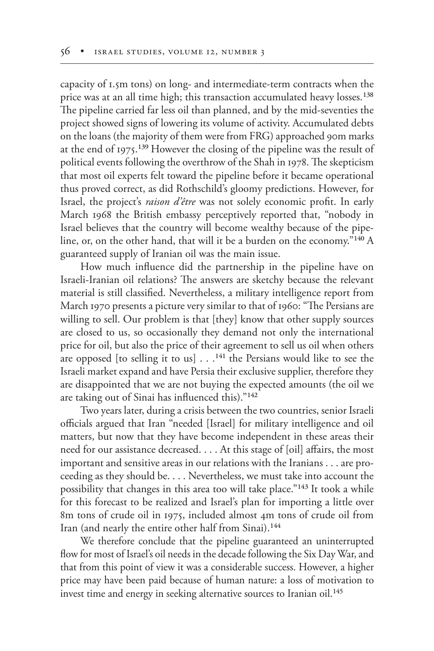capacity of 1.5m tons) on long- and intermediate-term contracts when the price was at an all time high; this transaction accumulated heavy losses.<sup>138</sup> The pipeline carried far less oil than planned, and by the mid-seventies the project showed signs of lowering its volume of activity. Accumulated debts on the loans (the majority of them were from FRG) approached 90m marks at the end of 1975.<sup>139</sup> However the closing of the pipeline was the result of political events following the overthrow of the Shah in 1978. The skepticism that most oil experts felt toward the pipeline before it became operational thus proved correct, as did Rothschild's gloomy predictions. However, for Israel, the project's *raison d'être* was not solely economic profit. In early March 1968 the British embassy perceptively reported that, "nobody in Israel believes that the country will become wealthy because of the pipeline, or, on the other hand, that will it be a burden on the economy."140 A guaranteed supply of Iranian oil was the main issue.

How much influence did the partnership in the pipeline have on Israeli-Iranian oil relations? The answers are sketchy because the relevant material is still classified. Nevertheless, a military intelligence report from March 1970 presents a picture very similar to that of 1960: "The Persians are willing to sell. Our problem is that [they] know that other supply sources are closed to us, so occasionally they demand not only the international price for oil, but also the price of their agreement to sell us oil when others are opposed [to selling it to us] . . .<sup>141</sup> the Persians would like to see the Israeli market expand and have Persia their exclusive supplier, therefore they are disappointed that we are not buying the expected amounts (the oil we are taking out of Sinai has influenced this)."142

Two years later, during a crisis between the two countries, senior Israeli officials argued that Iran "needed [Israel] for military intelligence and oil matters, but now that they have become independent in these areas their need for our assistance decreased. . . . At this stage of [oil] affairs, the most important and sensitive areas in our relations with the Iranians . . . are proceeding as they should be. . . . Nevertheless, we must take into account the possibility that changes in this area too will take place."143 It took a while for this forecast to be realized and Israel's plan for importing a little over 8m tons of crude oil in 1975, included almost 4m tons of crude oil from Iran (and nearly the entire other half from Sinai).144

We therefore conclude that the pipeline guaranteed an uninterrupted flow for most of Israel's oil needs in the decade following the Six Day War, and that from this point of view it was a considerable success. However, a higher price may have been paid because of human nature: a loss of motivation to invest time and energy in seeking alternative sources to Iranian oil.<sup>145</sup>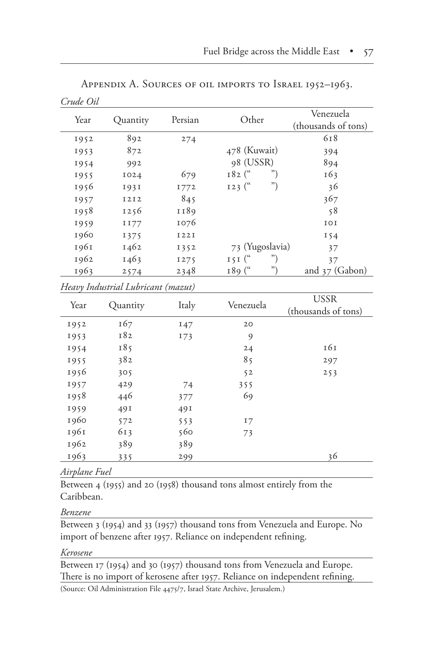| Crude Oil |             |             |                    |                     |
|-----------|-------------|-------------|--------------------|---------------------|
| Year      |             |             | Venezuela<br>Other |                     |
|           | Quantity    | Persian     |                    | (thousands of tons) |
| 1952      | 892         | 274         |                    | 618                 |
| 1953      | 872         |             | 478 (Kuwait)       | 394                 |
| 1954      | 992         |             | 98 (USSR)          | 894                 |
| 1955      | 1024        | 679         | $182$ ("           | 163                 |
| 1956      | 1931        | I772        | ")<br>$123$ ("     | 36                  |
| 1957      | <b>I2I2</b> | 845         |                    | 367                 |
| 1958      | 1256        | II89        |                    | 58                  |
| 1959      | II77        | 1076        |                    | 101                 |
| 1960      | 1375        | <b>I22I</b> |                    | I 54                |
| 1961      | 1462        | 1352        | 73 (Yugoslavia)    | 37                  |
| 1962      | 1463        | 1275        | 15I <sup>''</sup>  | 37                  |
| 1963      | 2574        | 2348        | $189$ ("           | and $37$ (Gabon)    |
|           |             |             |                    |                     |

Appendix A. Sources of oil imports to Israel 1952–1963.

*Heavy Industrial Lubricant (mazut)*

| Year |          | Italy | Venezuela      | <b>USSR</b>         |
|------|----------|-------|----------------|---------------------|
|      | Quantity |       |                | (thousands of tons) |
| 1952 | 167      | I47   | 20             |                     |
| 1953 | 182      | 173   | 9              |                     |
| 1954 | 185      |       | 24             | 161                 |
| 1955 | 382      |       | 8 <sub>5</sub> | 297                 |
| 1956 | 305      |       | 52             | 253                 |
| 1957 | 429      | 74    | 355            |                     |
| 1958 | 446      | 377   | 69             |                     |
| 1959 | 491      | 491   |                |                     |
| 1960 | 572      | 553   | 17             |                     |
| 1961 | 613      | 560   | 73             |                     |
| 1962 | 389      | 389   |                |                     |
| 1963 | 335      | 299   |                | 36                  |

#### *Airplane Fuel*

Between 4 (1955) and 20 (1958) thousand tons almost entirely from the Caribbean.

#### *Benzene*

Between 3 (1954) and 33 (1957) thousand tons from Venezuela and Europe. No import of benzene after 1957. Reliance on independent refining.

#### *Kerosene*

Between 17 (1954) and 30 (1957) thousand tons from Venezuela and Europe. There is no import of kerosene after 1957. Reliance on independent refining.

(Source: Oil Administration File 4475/7, Israel State Archive, Jerusalem.)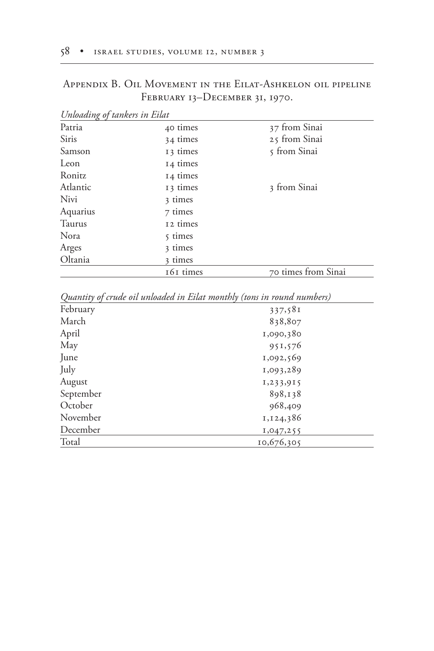## Appendix B. Oil Movement in the Eilat-Ashkelon oil pipeline FEBRUARY 13-DECEMBER 31, 1970.

| Chronaing of tunners in Little |           |                     |
|--------------------------------|-----------|---------------------|
| Patria                         | 40 times  | 37 from Sinai       |
| Siris                          | 34 times  | 25 from Sinai       |
| Samson                         | 13 times  | 5 from Sinai        |
| Leon                           | 14 times  |                     |
| Ronitz                         | 14 times  |                     |
| Atlantic                       | 13 times  | 3 from Sinai        |
| Nivi                           | 3 times   |                     |
| Aquarius                       | 7 times   |                     |
| Taurus                         | 12 times  |                     |
| Nora                           | 5 times   |                     |
| Arges                          | 3 times   |                     |
| Oltania                        | 3 times   |                     |
|                                | 161 times | 70 times from Sinai |

*Unloading of tankers in Eilat*

| Quantity of crude oil unloaded in Eilat monthly (tons in round numbers) |  |
|-------------------------------------------------------------------------|--|
|-------------------------------------------------------------------------|--|

| Total     | 10,676,305 |  |
|-----------|------------|--|
| December  | 1,047,255  |  |
| November  | 1,124,386  |  |
| October   | 968,409    |  |
| September | 898,138    |  |
| August    | 1,233,915  |  |
| July      | 1,093,289  |  |
| June      | 1,092,569  |  |
| May       | 951,576    |  |
| April     | 1,090,380  |  |
| March     | 838,807    |  |
| February  | 337,581    |  |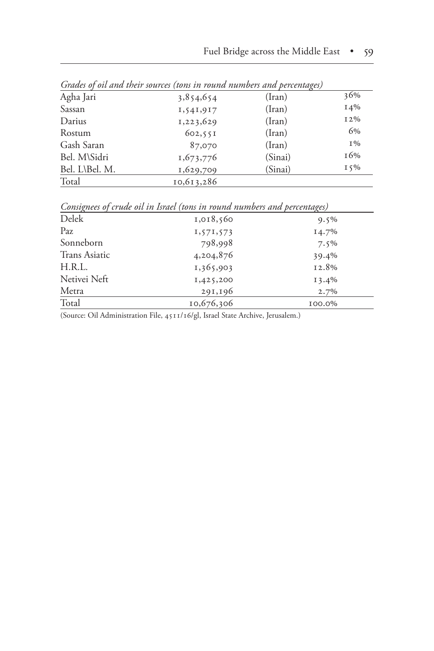|                | Graacs of on and inch sources (tons in round numbers and percentages) |         |          |
|----------------|-----------------------------------------------------------------------|---------|----------|
| Agha Jari      | 3,854,654                                                             | (Iran)  | 36%      |
| Sassan         | 1,541,917                                                             | (Iran)  | I4%      |
| Darius         | 1,223,629                                                             | (Iran)  | I2%      |
| Rostum         | 602,551                                                               | (Iran)  | 6%       |
| Gash Saran     | 87,070                                                                | (Iran)  | $1\%$    |
| Bel. M\Sidri   | 1,673,776                                                             | (Sinai) | 16%      |
| Bel. L\Bel. M. | 1,629,709                                                             | (Sinai) | $I\ 5\%$ |
| Total          | 10,613,286                                                            |         |          |

*Grades of oil and their sources (tons in round numbers and percentages)* 

*Consignees of crude oil in Israel (tons in round numbers and percentages)*

| Delek                | 1,018,560  | $9.5\%$ |
|----------------------|------------|---------|
| Paz                  | 1,571,573  | 14.7%   |
| Sonneborn            | 798,998    | $7.5\%$ |
| <b>Trans Asiatic</b> | 4,204,876  | 39.4%   |
| H.R.L.               | 1,365,903  | 12.8%   |
| Netivei Neft         | 1,425,200  | 13.4%   |
| Metra                | 291,196    | 2.7%    |
| Total                | 10,676,306 | 100.0%  |

(Source: Oil Administration File, 4511/16/gl, Israel State Archive, Jerusalem.)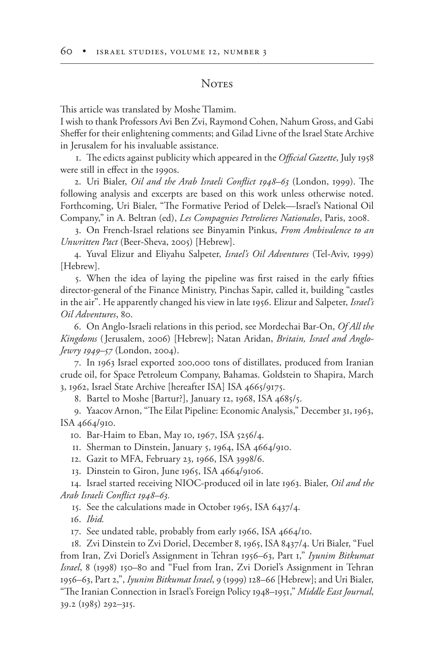## **NOTES**

This article was translated by Moshe Tlamim.

I wish to thank Professors Avi Ben Zvi, Raymond Cohen, Nahum Gross, and Gabi Sheffer for their enlightening comments; and Gilad Livne of the Israel State Archive in Jerusalem for his invaluable assistance.

1. The edicts against publicity which appeared in the *Official Gazette*, July 1958 were still in effect in the 1990s.

2. Uri Bialer, *Oil and the Arab Israeli Conflict 1948–63* (London, 1999). The following analysis and excerpts are based on this work unless otherwise noted. Forthcoming, Uri Bialer, "The Formative Period of Delek—Israel's National Oil Company," in A. Beltran (ed), *Les Compagnies Petrolieres Nationales*, Paris, 2008.

3. On French-Israel relations see Binyamin Pinkus, *From Ambivalence to an Unwritten Pact* (Beer-Sheva, 2005) [Hebrew].

4. Yuval Elizur and Eliyahu Salpeter, *Israel's Oil Adventures* (Tel-Aviv, 1999) [Hebrew].

5. When the idea of laying the pipeline was first raised in the early fifties director-general of the Finance Ministry, Pinchas Sapir, called it, building "castles in the air". He apparently changed his view in late 1956. Elizur and Salpeter, *Israel's Oil Adventures*, 80.

6. On Anglo-Israeli relations in this period, see Mordechai Bar-On, *Of All the Kingdoms* (Jerusalem, 2006) [Hebrew]; Natan Aridan, *Britain, Israel and Anglo-Jewry 1949–57* (London, 2004).

7. In 1963 Israel exported 200,000 tons of distillates, produced from Iranian crude oil, for Space Petroleum Company, Bahamas. Goldstein to Shapira, March 3, 1962, Israel State Archive [hereafter ISA] ISA 4665/9175.

8. Bartel to Moshe [Bartur?], January 12, 1968, ISA 4685/5.

9. Yaacov Arnon, "The Eilat Pipeline: Economic Analysis," December 31, 1963, ISA 4664/910.

10. Bar-Haim to Eban, May 10, 1967, ISA 5256/4.

11. Sherman to Dinstein, January 5, 1964, ISA 4664/910.

12. Gazit to MFA, February 23, 1966, ISA 3998/6.

13. Dinstein to Giron, June 1965, ISA 4664/9106.

14. Israel started receiving NIOC-produced oil in late 1963. Bialer, *Oil and the Arab Israeli Conflict 1948–63.*

15. See the calculations made in October 1965, ISA 6437/4.

16. *Ibid.*

17. See undated table, probably from early 1966, ISA 4664/10.

18. Zvi Dinstein to Zvi Doriel, December 8, 1965, ISA 8437/4. Uri Bialer, "Fuel from Iran, Zvi Doriel's Assignment in Tehran 1956–63, Part 1," *Iyunim Bitkumat Israel*, 8 (1998) 150–80 and "Fuel from Iran, Zvi Doriel's Assignment in Tehran 1956–63, Part 2,", *Iyunim Bitkumat Israel*, 9 (1999) 128–66 [Hebrew]; and Uri Bialer, "The Iranian Connection in Israel's Foreign Policy 1948–1951," *Middle East Journal*,

39.2 (1985) 292–315.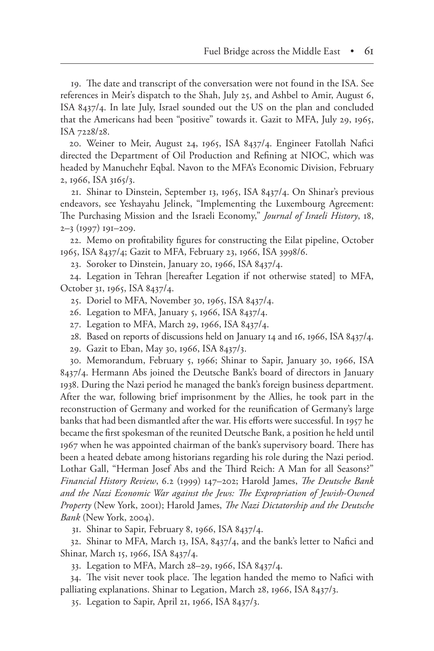19. The date and transcript of the conversation were not found in the ISA. See references in Meir's dispatch to the Shah, July 25, and Ashbel to Amir, August 6, ISA 8437/4. In late July, Israel sounded out the US on the plan and concluded that the Americans had been "positive" towards it. Gazit to MFA, July 29, 1965, ISA 7228/28.

20. Weiner to Meir, August 24, 1965, ISA 8437/4. Engineer Fatollah Nafici directed the Department of Oil Production and Refining at NIOC, which was headed by Manuchehr Eqbal. Navon to the MFA's Economic Division, February 2, 1966, ISA 3165/3.

21. Shinar to Dinstein, September 13, 1965, ISA 8437/4. On Shinar's previous endeavors, see Yeshayahu Jelinek, "Implementing the Luxembourg Agreement: The Purchasing Mission and the Israeli Economy," *Journal of Israeli History*, 18, 2–3 (1997) 191–209.

22. Memo on profitability figures for constructing the Eilat pipeline, October 1965, ISA 8437/4; Gazit to MFA, February 23, 1966, ISA 3998/6.

23. Soroker to Dinstein, January 20, 1966, ISA 8437/4.

24. Legation in Tehran [hereafter Legation if not otherwise stated] to MFA, October 31, 1965, ISA 8437/4.

25. Doriel to MFA, November 30, 1965, ISA 8437/4.

26. Legation to MFA, January 5, 1966, ISA 8437/4.

27. Legation to MFA, March 29, 1966, ISA 8437/4.

28. Based on reports of discussions held on January 14 and 16, 1966, ISA 8437/4.

29. Gazit to Eban, May 30, 1966, ISA 8437/3.

30. Memorandum, February 5, 1966; Shinar to Sapir, January 30, 1966, ISA 8437/4. Hermann Abs joined the Deutsche Bank's board of directors in January 1938. During the Nazi period he managed the bank's foreign business department. After the war, following brief imprisonment by the Allies, he took part in the reconstruction of Germany and worked for the reunification of Germany's large banks that had been dismantled after the war. His efforts were successful. In 1957 he became the first spokesman of the reunited Deutsche Bank, a position he held until 1967 when he was appointed chairman of the bank's supervisory board. There has been a heated debate among historians regarding his role during the Nazi period. Lothar Gall, "Herman Josef Abs and the Third Reich: A Man for all Seasons?" *Financial History Review*, 6.2 (1999) 147–202; Harold James, *The Deutsche Bank and the Nazi Economic War against the Jews: The Expropriation of Jewish-Owned Property* (New York, 2001); Harold James, *The Nazi Dictatorship and the Deutsche Bank* (New York, 2004).

31. Shinar to Sapir, February 8, 1966, ISA 8437/4.

32. Shinar to MFA, March 13, ISA, 8437/4, and the bank's letter to Nafici and Shinar, March 15, 1966, ISA 8437/4.

33. Legation to MFA, March 28–29, 1966, ISA 8437/4.

34. The visit never took place. The legation handed the memo to Nafici with palliating explanations. Shinar to Legation, March 28, 1966, ISA 8437/3.

35. Legation to Sapir, April 21, 1966, ISA 8437/3.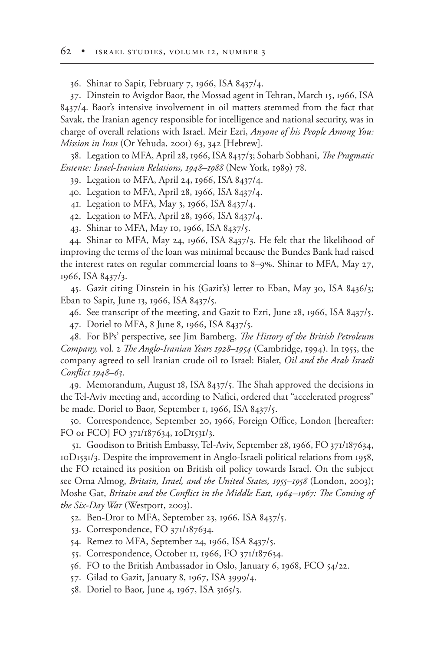36. Shinar to Sapir, February 7, 1966, ISA 8437/4.

37. Dinstein to Avigdor Baor, the Mossad agent in Tehran, March 15, 1966, ISA 8437/4. Baor's intensive involvement in oil matters stemmed from the fact that Savak, the Iranian agency responsible for intelligence and national security, was in charge of overall relations with Israel. Meir Ezri, *Anyone of his People Among You: Mission in Iran* (Or Yehuda, 2001) 63, 342 [Hebrew].

38. Legation to MFA, April 28, 1966, ISA 8437/3; Soharb Sobhani, *The Pragmatic Entente: Israel-Iranian Relations, 1948–1988* (New York, 1989) 78.

39. Legation to MFA, April 24, 1966, ISA 8437/4.

40. Legation to MFA, April 28, 1966, ISA 8437/4.

41. Legation to MFA, May 3, 1966, ISA 8437/4.

42. Legation to MFA, April 28, 1966, ISA 8437/4.

43. Shinar to MFA, May 10, 1966, ISA 8437/5.

44. Shinar to MFA, May 24, 1966, ISA 8437/3. He felt that the likelihood of improving the terms of the loan was minimal because the Bundes Bank had raised the interest rates on regular commercial loans to 8–9%. Shinar to MFA, May 27, 1966, ISA 8437/3.

45. Gazit citing Dinstein in his (Gazit's) letter to Eban, May 30, ISA 8436/3; Eban to Sapir, June 13, 1966, ISA 8437/5.

46. See transcript of the meeting, and Gazit to Ezri, June 28, 1966, ISA 8437/5.

47. Doriel to MFA, 8 June 8, 1966, ISA 8437/5.

48. For BPs' perspective, see Jim Bamberg, *The History of the British Petroleum Company,* vol. 2 *The Anglo-Iranian Years 1928*–*1954* (Cambridge, 1994). In 1955, the company agreed to sell Iranian crude oil to Israel: Bialer, *Oil and the Arab Israeli Conflict 1948–63*.

49. Memorandum, August 18, ISA 8437/5. The Shah approved the decisions in the Tel-Aviv meeting and, according to Nafici, ordered that "accelerated progress" be made. Doriel to Baor, September 1, 1966, ISA 8437/5.

50. Correspondence, September 20, 1966, Foreign Office, London [hereafter: FO or FCO] FO 371/187634, 10D1531/3.

51. Goodison to British Embassy, Tel-Aviv, September 28, 1966, FO 371/187634, 10D1531/3. Despite the improvement in Anglo-Israeli political relations from 1958, the FO retained its position on British oil policy towards Israel. On the subject see Orna Almog, *Britain, Israel, and the United States, 1955–1958* (London, 2003); Moshe Gat, *Britain and the Conflict in the Middle East, 1964–1967: The Coming of the Six-Day War* (Westport, 2003).

52. Ben-Dror to MFA, September 23, 1966, ISA 8437/5.

53. Correspondence, FO 371/187634.

54. Remez to MFA, September 24, 1966, ISA 8437/5.

55. Correspondence, October 11, 1966, FO 371/187634.

56. FO to the British Ambassador in Oslo, January 6, 1968, FCO 54/22.

57. Gilad to Gazit, January 8, 1967, ISA 3999/4.

58. Doriel to Baor, June 4, 1967, ISA 3165/3.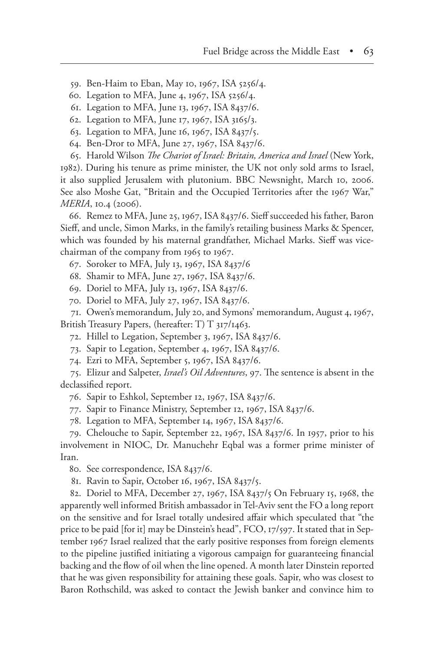59. Ben-Haim to Eban, May 10, 1967, ISA 5256/4.

60. Legation to MFA, June 4, 1967, ISA 5256/4.

61. Legation to MFA, June 13, 1967, ISA 8437/6.

62. Legation to MFA, June 17, 1967, ISA 3165/3.

63. Legation to MFA, June 16, 1967, ISA 8437/5.

64. Ben-Dror to MFA, June 27, 1967, ISA 8437/6.

65. Harold Wilson *The Chariot of Israel: Britain, America and Israel* (New York,

1982). During his tenure as prime minister, the UK not only sold arms to Israel, it also supplied Jerusalem with plutonium. BBC Newsnight, March 10, 2006. See also Moshe Gat, "Britain and the Occupied Territories after the 1967 War," *MERIA*, 10.4 (2006).

66. Remez to MFA, June 25, 1967, ISA 8437/6. Sieff succeeded his father, Baron Sieff, and uncle, Simon Marks, in the family's retailing business Marks & Spencer, which was founded by his maternal grandfather, Michael Marks. Sieff was vicechairman of the company from 1965 to 1967.

67. Soroker to MFA, July 13, 1967, ISA 8437/6

68. Shamir to MFA, June 27, 1967, ISA 8437/6.

69. Doriel to MFA, July 13, 1967, ISA 8437/6.

70. Doriel to MFA, July 27, 1967, ISA 8437/6.

71. Owen's memorandum, July 20, and Symons' memorandum, August 4, 1967, British Treasury Papers, (hereafter: T) T 317/1463.

72. Hillel to Legation, September 3, 1967, ISA 8437/6.

73. Sapir to Legation, September 4, 1967, ISA 8437/6.

74. Ezri to MFA, September 5, 1967, ISA 8437/6.

75. Elizur and Salpeter, *Israel's Oil Adventures*, 97. The sentence is absent in the declassified report.

76. Sapir to Eshkol, September 12, 1967, ISA 8437/6.

77. Sapir to Finance Ministry, September 12, 1967, ISA 8437/6.

78. Legation to MFA, September 14, 1967, ISA 8437/6.

79. Chelouche to Sapir, September 22, 1967, ISA 8437/6. In 1957, prior to his involvement in NIOC, Dr. Manuchehr Eqbal was a former prime minister of Iran.

80. See correspondence, ISA 8437/6.

81. Ravin to Sapir, October 16, 1967, ISA 8437/5.

82. Doriel to MFA, December 27, 1967, ISA 8437/5 On February 15, 1968, the apparently well informed British ambassador in Tel-Aviv sent the FO a long report on the sensitive and for Israel totally undesired affair which speculated that "the price to be paid [for it] may be Dinstein's head", FCO, 17/597. It stated that in September 1967 Israel realized that the early positive responses from foreign elements to the pipeline justified initiating a vigorous campaign for guaranteeing financial backing and the flow of oil when the line opened. A month later Dinstein reported that he was given responsibility for attaining these goals. Sapir, who was closest to Baron Rothschild, was asked to contact the Jewish banker and convince him to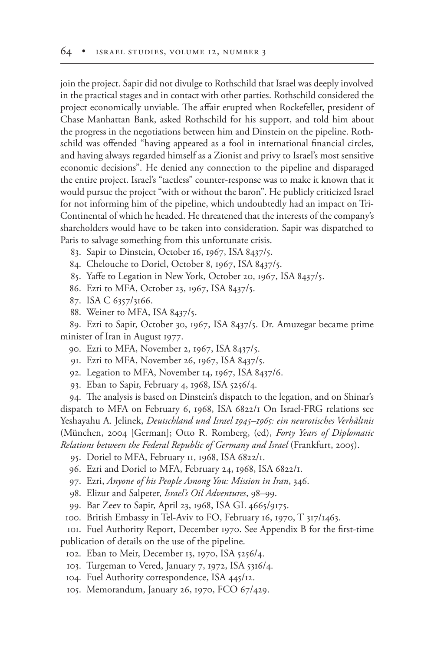join the project. Sapir did not divulge to Rothschild that Israel was deeply involved in the practical stages and in contact with other parties. Rothschild considered the project economically unviable. The affair erupted when Rockefeller, president of Chase Manhattan Bank, asked Rothschild for his support, and told him about the progress in the negotiations between him and Dinstein on the pipeline. Rothschild was offended "having appeared as a fool in international financial circles, and having always regarded himself as a Zionist and privy to Israel's most sensitive economic decisions". He denied any connection to the pipeline and disparaged the entire project. Israel's "tactless" counter-response was to make it known that it would pursue the project "with or without the baron". He publicly criticized Israel for not informing him of the pipeline, which undoubtedly had an impact on Tri-Continental of which he headed. He threatened that the interests of the company's shareholders would have to be taken into consideration. Sapir was dispatched to Paris to salvage something from this unfortunate crisis.

- 83. Sapir to Dinstein, October 16, 1967, ISA 8437/5.
- 84. Chelouche to Doriel, October 8, 1967, ISA 8437/5.
- 85. Yaffe to Legation in New York, October 20, 1967, ISA 8437/5.
- 86. Ezri to MFA, October 23, 1967, ISA 8437/5.
- 87. ISA C 6357/3166.
- 88. Weiner to MFA, ISA 8437/5.

89. Ezri to Sapir, October 30, 1967, ISA 8437/5. Dr. Amuzegar became prime minister of Iran in August 1977.

- 90. Ezri to MFA, November 2, 1967, ISA 8437/5.
- 91. Ezri to MFA, November 26, 1967, ISA 8437/5.
- 92. Legation to MFA, November 14, 1967, ISA 8437/6.
- 93. Eban to Sapir, February 4, 1968, ISA 5256/4.

94. The analysis is based on Dinstein's dispatch to the legation, and on Shinar's dispatch to MFA on February 6, 1968, ISA 6822/1 On Israel-FRG relations see Yeshayahu A. Jelinek, *Deutschland und Israel 1945–1965: ein neurotisches Verhältnis*  (München, 2004 [German]; Otto R. Romberg, (ed), *Forty Years of Diplomatic Relations between the Federal Republic of Germany and Israel* (Frankfurt, 2005).

- 95. Doriel to MFA, February 11, 1968, ISA 6822/1.
- 96. Ezri and Doriel to MFA, February 24, 1968, ISA 6822/1.
- 97. Ezri, *Anyone of his People Among You: Mission in Iran*, 346.
- 98. Elizur and Salpeter, *Israel's Oil Adventures*, 98–99.
- 99. Bar Zeev to Sapir, April 23, 1968, ISA GL 4665/9175.
- 100. British Embassy in Tel-Aviv to FO, February 16, 1970, T 317/1463.

101. Fuel Authority Report, December 1970. See Appendix B for the first-time publication of details on the use of the pipeline.

- 102. Eban to Meir, December 13, 1970, ISA 5256/4.
- 103. Turgeman to Vered, January 7, 1972, ISA 5316/4.
- 104. Fuel Authority correspondence, ISA 445/12.
- 105. Memorandum, January 26, 1970, FCO 67/429.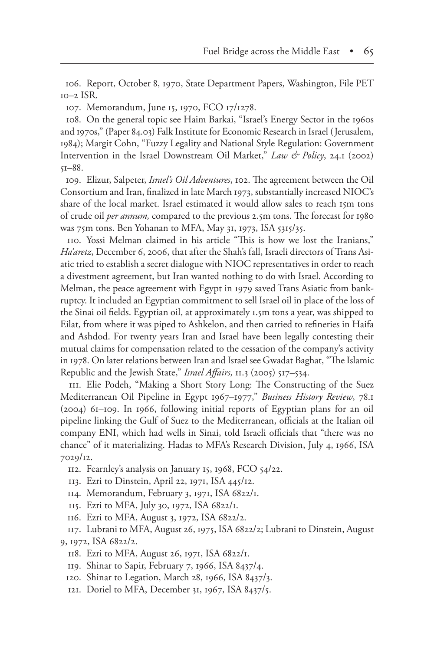106. Report, October 8, 1970, State Department Papers, Washington, File PET 10–2 ISR.

107. Memorandum, June 15, 1970, FCO 17/1278.

108. On the general topic see Haim Barkai, "Israel's Energy Sector in the 1960s and 1970s," (Paper 84.03) Falk Institute for Economic Research in Israel (Jerusalem, 1984); Margit Cohn, "Fuzzy Legality and National Style Regulation: Government Intervention in the Israel Downstream Oil Market," *Law & Policy*, 24.1 (2002) 51–88.

109. Elizur, Salpeter, *Israel's Oil Adventures*, 102. The agreement between the Oil Consortium and Iran, finalized in late March 1973, substantially increased NIOC's share of the local market. Israel estimated it would allow sales to reach 15m tons of crude oil *per annum,* compared to the previous 2.5m tons. The forecast for 1980 was 75m tons. Ben Yohanan to MFA, May 31, 1973, ISA 5315/35.

110. Yossi Melman claimed in his article "This is how we lost the Iranians," *Ha'aretz*, December 6, 2006, that after the Shah's fall, Israeli directors of Trans Asiatic tried to establish a secret dialogue with NIOC representatives in order to reach a divestment agreement, but Iran wanted nothing to do with Israel. According to Melman, the peace agreement with Egypt in 1979 saved Trans Asiatic from bankruptcy. It included an Egyptian commitment to sell Israel oil in place of the loss of the Sinai oil fields. Egyptian oil, at approximately 1.5m tons a year, was shipped to Eilat, from where it was piped to Ashkelon, and then carried to refineries in Haifa and Ashdod. For twenty years Iran and Israel have been legally contesting their mutual claims for compensation related to the cessation of the company's activity in 1978. On later relations between Iran and Israel see Gwadat Baghat, "The Islamic Republic and the Jewish State," *Israel Affairs*, 11.3 (2005) 517–534.

111. Elie Podeh, "Making a Short Story Long: The Constructing of the Suez Mediterranean Oil Pipeline in Egypt 1967–1977," *Business History Review*, 78.1 (2004) 61–109. In 1966, following initial reports of Egyptian plans for an oil pipeline linking the Gulf of Suez to the Mediterranean, officials at the Italian oil company ENI, which had wells in Sinai, told Israeli officials that "there was no chance" of it materializing. Hadas to MFA's Research Division, July 4, 1966, ISA 7029/12.

- 112. Fearnley's analysis on January 15, 1968, FCO 54/22.
- 113. Ezri to Dinstein, April 22, 1971, ISA 445/12.
- 114. Memorandum, February 3, 1971, ISA 6822/1.
- 115. Ezri to MFA, July 30, 1972, ISA 6822/1.
- 116. Ezri to MFA, August 3, 1972, ISA 6822/2.

117. Lubrani to MFA, August 26, 1975, ISA 6822/2; Lubrani to Dinstein, August 9, 1972, ISA 6822/2.

- 118. Ezri to MFA, August 26, 1971, ISA 6822/1.
- 119. Shinar to Sapir, February 7, 1966, ISA 8437/4.
- 120. Shinar to Legation, March 28, 1966, ISA 8437/3.
- 121. Doriel to MFA, December 31, 1967, ISA 8437/5.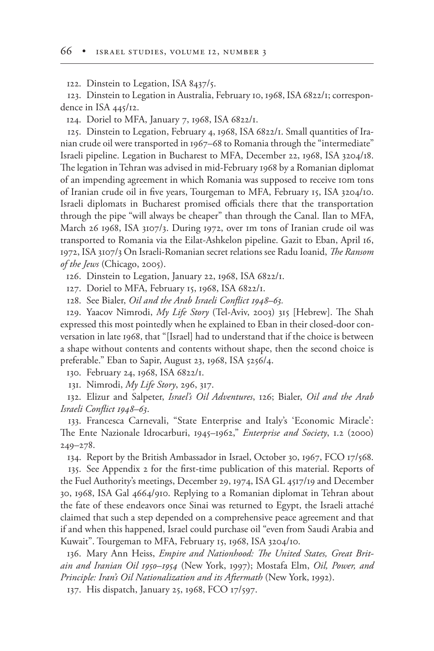122. Dinstein to Legation, ISA 8437/5.

123. Dinstein to Legation in Australia, February 10, 1968, ISA 6822/1; correspondence in ISA 445/12.

124. Doriel to MFA, January 7, 1968, ISA 6822/1.

125. Dinstein to Legation, February 4, 1968, ISA 6822/1. Small quantities of Iranian crude oil were transported in 1967–68 to Romania through the "intermediate" Israeli pipeline. Legation in Bucharest to MFA, December 22, 1968, ISA 3204/18. The legation in Tehran was advised in mid-February 1968 by a Romanian diplomat of an impending agreement in which Romania was supposed to receive 10m tons of Iranian crude oil in five years, Tourgeman to MFA, February 15, ISA 3204/10. Israeli diplomats in Bucharest promised officials there that the transportation through the pipe "will always be cheaper" than through the Canal. Ilan to MFA, March 26 1968, ISA 3107/3. During 1972, over 1m tons of Iranian crude oil was transported to Romania via the Eilat-Ashkelon pipeline. Gazit to Eban, April 16, 1972, ISA 3107/3 On Israeli-Romanian secret relations see Radu Ioanid, *The Ransom of the Jews* (Chicago, 2005).

126. Dinstein to Legation, January 22, 1968, ISA 6822/1.

127. Doriel to MFA, February 15, 1968, ISA 6822/1.

128. See Bialer, *Oil and the Arab Israeli Conflict 1948–63.*

129. Yaacov Nimrodi, *My Life Story* (Tel-Aviv, 2003) 315 [Hebrew]. The Shah expressed this most pointedly when he explained to Eban in their closed-door conversation in late 1968, that "[Israel] had to understand that if the choice is between a shape without contents and contents without shape, then the second choice is preferable." Eban to Sapir, August 23, 1968, ISA 5256/4.

130. February 24, 1968, ISA 6822/1.

131. Nimrodi, *My Life Story*, 296, 317.

132. Elizur and Salpeter, *Israel's Oil Adventures*, 126; Bialer, *Oil and the Arab Israeli Conflict 1948–63*.

133. Francesca Carnevali, "State Enterprise and Italy's 'Economic Miracle': The Ente Nazionale Idrocarburi, 1945–1962," *Enterprise and Society*, 1.2 (2000)  $249 - 278.$ 

134. Report by the British Ambassador in Israel, October 30, 1967, FCO 17/568.

135. See Appendix 2 for the first-time publication of this material. Reports of the Fuel Authority's meetings, December 29, 1974, ISA GL 4517/19 and December 30, 1968, ISA Gal 4664/910. Replying to a Romanian diplomat in Tehran about the fate of these endeavors once Sinai was returned to Egypt, the Israeli attaché claimed that such a step depended on a comprehensive peace agreement and that if and when this happened, Israel could purchase oil "even from Saudi Arabia and Kuwait". Tourgeman to MFA, February 15, 1968, ISA 3204/10.

136. Mary Ann Heiss, *Empire and Nationhood: The United States, Great Britain and Iranian Oil 1950–1954* (New York, 1997); Mostafa Elm, *Oil, Power, and Principle: Iran's Oil Nationalization and its Aftermath* (New York, 1992).

137. His dispatch, January 25, 1968, FCO 17/597.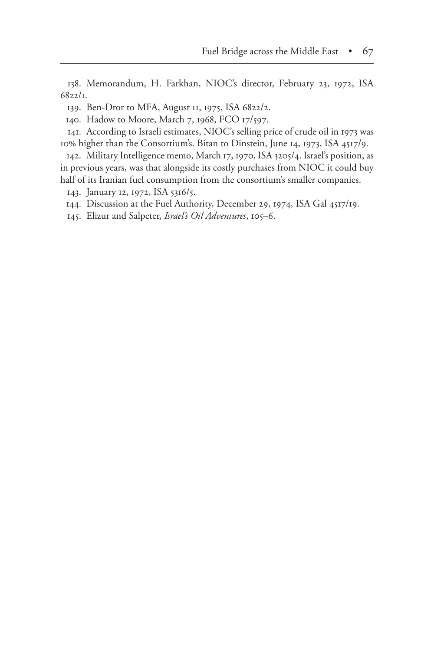138. Memorandum, H. Farkhan, NIOC's director, February 23, 1972, ISA 6822/1.

139. Ben-Dror to MFA, August 11, 1975, ISA 6822/2.

140. Hadow to Moore, March 7, 1968, FCO 17/597.

141. According to Israeli estimates, NIOC's selling price of crude oil in 1973 was 10% higher than the Consortium's. Bitan to Dinstein, June 14, 1973, ISA 4517/9.

142. Military Intelligence memo, March 17, 1970, ISA 3205/4. Israel's position, as in previous years, was that alongside its costly purchases from NIOC it could buy half of its Iranian fuel consumption from the consortium's smaller companies.

143. January 12, 1972, ISA 5316/5.

144. Discussion at the Fuel Authority, December 29, 1974, ISA Gal 4517/19.

145. Elizur and Salpeter, *Israel's Oil Adventures*, 105–6.